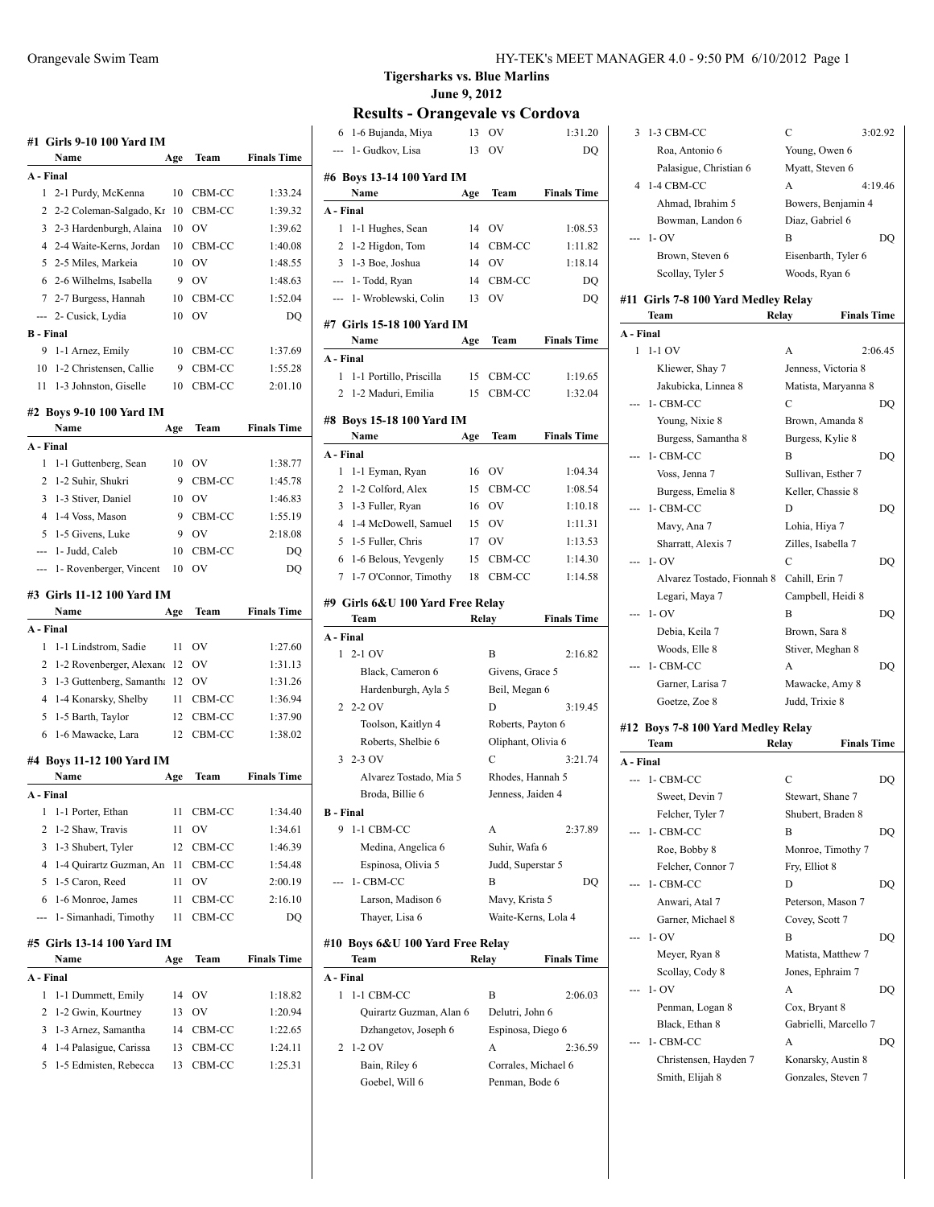|                  | #1   Girls 9-10 100 Yard IM        |     |                |                    |
|------------------|------------------------------------|-----|----------------|--------------------|
|                  | Name                               | Age | Team           | <b>Finals Time</b> |
| A - Final        |                                    |     |                |                    |
| $\mathbf{1}$     | 2-1 Purdy, McKenna                 | 10  | CBM-CC         | 1:33.24            |
| 2                | 2-2 Coleman-Salgado, Kr            | 10  | CBM-CC         | 1:39.32            |
| 3                | 2-3 Hardenburgh, Alaina            | 10  | OV             | 1:39.62            |
|                  | 4 2-4 Waite-Kerns, Jordan          | 10  | CBM-CC         | 1:40.08            |
|                  | 5 2-5 Miles, Markeia               | 10  | OV             | 1:48.55            |
|                  | 6 2-6 Wilhelms, Isabella           | 9   | OV             | 1:48.63            |
|                  | 7 2-7 Burgess, Hannah              | 10  | CBM-CC         | 1:52.04            |
|                  | --- 2- Cusick, Lydia               | 10  | O <sub>V</sub> | DQ                 |
| <b>B</b> - Final |                                    |     |                |                    |
| 9                | 1-1 Arnez, Emily                   | 10  | CBM-CC         | 1:37.69            |
| 10               | 1-2 Christensen, Callie            | 9   | CBM-CC         | 1:55.28            |
| 11               | 1-3 Johnston, Giselle              | 10  | CBM-CC         | 2:01.10            |
|                  | #2 Boys 9-10 100 Yard IM           |     |                |                    |
|                  | Name                               | Age | Team           | <b>Finals Time</b> |
| A - Final        |                                    |     |                |                    |
| 1                | 1-1 Guttenberg, Sean               | 10  | OV             | 1:38.77            |
| 2                | 1-2 Suhir, Shukri                  | 9   | CBM-CC         | 1:45.78            |
|                  | 3 1-3 Stiver, Daniel               | 10  | OV             | 1:46.83            |
| $\overline{4}$   | 1-4 Voss, Mason                    | 9   | CBM-CC         | 1:55.19            |
| 5                | 1-5 Givens, Luke                   | 9   | OV             | 2:18.08            |
|                  | --- 1- Judd, Caleb                 | 10  | CBM-CC         | DO                 |
|                  | 1- Rovenberger, Vincent            | 10  | OV             | DQ                 |
|                  |                                    |     |                |                    |
|                  | #3 Girls 11-12 100 Yard IM         |     |                |                    |
|                  | Name                               | Age | Team           | <b>Finals Time</b> |
|                  |                                    |     |                |                    |
| A - Final        |                                    |     |                |                    |
| 1                | 1-1 Lindstrom, Sadie               | 11  | OV             | 1:27.60            |
| 2                | 1-2 Rovenberger, Alexand           | 12  | OV             | 1:31.13            |
| 3                | 1-3 Guttenberg, Samantha           | 12  | OV             | 1:31.26            |
| 4                | 1-4 Konarsky, Shelby               | 11  | CBM-CC         | 1:36.94            |
| 5                | 1-5 Barth, Taylor                  | 12  | CBM-CC         | 1:37.90            |
| 6                | 1-6 Mawacke, Lara                  | 12  | CBM-CC         | 1:38.02            |
|                  | #4 Boys 11-12 100 Yard IM          |     |                |                    |
|                  | Name                               | Age | Team           | <b>Finals Time</b> |
| A - Final        |                                    |     |                |                    |
| 1                | 1-1 Porter, Ethan                  | 11  | CBM-CC         | 1:34.40            |
| 2                | 1-2 Shaw, Travis                   | 11  | OV             | 1:34.61            |
| 3                | 1-3 Shubert, Tyler                 | 12  | CBM-CC         | 1:46.39            |
| 4                | 1-4 Quirartz Guzman, An            | 11  | CBM-CC         | 1:54.48            |
| 5                | 1-5 Caron, Reed                    | 11  | OV             | 2:00.19            |
| 6                | 1-6 Monroe, James                  | 11  | CBM-CC         | 2:16.10            |
|                  | 1- Simanhadi, Timothy              | 11  | CBM-CC         | DQ                 |
|                  |                                    |     |                |                    |
|                  | #5 Girls 13-14 100 Yard IM<br>Name | Age | Team           | <b>Finals Time</b> |
| A - Final        |                                    |     |                |                    |
| 1                | 1-1 Dummett, Emily                 | 14  | ov             | 1:18.82            |
| 2                | 1-2 Gwin, Kourtney                 | 13  | OV             | 1:20.94            |
| 3                | 1-3 Arnez, Samantha                | 14  | CBM-CC         | 1:22.65            |
| 4                | 1-4 Palasigue, Carissa             | 13  | CBM-CC         | 1:24.11            |
| 5                | 1-5 Edmisten, Rebecca              | 13  | CBM-CC         | 1:25.31            |

 $\overline{1}$ 

**Tigersharks vs. Blue Marlins June 9, 2012**

### **Results - Orangevale vs Cordova**

| 1-6 Bujanda, Miya<br>6            | 13    | ov                  | 1:31.20            |
|-----------------------------------|-------|---------------------|--------------------|
| 1- Gudkov, Lisa<br>---            | 13    | OV                  | DQ                 |
|                                   |       |                     |                    |
| #6 Boys 13-14 100 Yard IM         |       |                     |                    |
| Name                              | Age   | Team                | <b>Finals Time</b> |
| A - Final                         |       |                     |                    |
| 1 1-1 Hughes, Sean                |       | 14 OV               | 1:08.53            |
| 2 1-2 Higdon, Tom                 | 14    | CBM-CC              | 1:11.82            |
| 3 1-3 Boe, Joshua                 | 14    | <sub>OV</sub>       | 1:18.14            |
| --- 1- Todd, Ryan                 | 14    | CBM-CC              | DQ                 |
| --- 1- Wroblewski, Colin          | 13    | OV                  | DQ                 |
| #7  Girls 15-18 100 Yard IM       |       |                     |                    |
| Name                              | Age   | Team                | <b>Finals Time</b> |
| A - Final                         |       |                     |                    |
| 1-1 Portillo, Priscilla<br>1      |       | 15 CBM-CC           | 1:19.65            |
| 1-2 Maduri, Emilia<br>2           | 15    | CBM-CC              | 1:32.04            |
| #8 Boys 15-18 100 Yard IM         |       |                     |                    |
| Name                              | Age   | Team                | <b>Finals Time</b> |
| A - Final                         |       |                     |                    |
| 1 1-1 Eyman, Ryan                 | 16    | OV                  | 1:04.34            |
| 2 1-2 Colford, Alex               |       | 15 CBM-CC           | 1:08.54            |
| 3 1-3 Fuller, Ryan                |       | 16 OV               | 1:10.18            |
| 4 1-4 McDowell, Samuel            | 15 OV |                     | 1:11.31            |
| 5 1-5 Fuller, Chris               | 17    | <b>OV</b>           | 1:13.53            |
| 6 1-6 Belous, Yevgenly            | 15    | CBM-CC              | 1:14.30            |
| 7 1-7 O'Connor, Timothy           |       | 18 CBM-CC           | 1:14.58            |
|                                   |       |                     |                    |
| #9 Girls 6&U 100 Yard Free Relay  |       |                     |                    |
| Team                              |       | Relay               | <b>Finals Time</b> |
| A - Final                         |       |                     |                    |
| $12 - 10V$                        |       | B                   | 2:16.82            |
| Black, Cameron 6                  |       | Givens, Grace 5     |                    |
| Hardenburgh, Ayla 5               |       | Beil, Megan 6       |                    |
| $2 - 2 - 2$ OV                    |       | D                   | 3:19.45            |
| Toolson, Kaitlyn 4                |       | Roberts, Payton 6   |                    |
| Roberts, Shelbie 6                |       | Oliphant, Olivia 6  |                    |
| $3 - 2 - 3$ OV                    |       | C                   | 3:21.74            |
| Alvarez Tostado, Mia 5            |       | Rhodes, Hannah 5    |                    |
| Broda, Billie 6                   |       | Jenness, Jaiden 4   |                    |
| B - Final                         |       |                     |                    |
| 9<br>1-1 CBM-CC                   |       | А                   | 2:37.89            |
| Medina, Angelica 6                |       | Suhir, Wafa 6       |                    |
| Espinosa, Olivia 5                |       | Judd, Superstar 5   |                    |
| 1- CBM-CC                         |       | В                   | DO                 |
| Larson, Madison 6                 |       | Mavy, Krista 5      |                    |
| Thayer, Lisa 6                    |       | Waite-Kerns, Lola 4 |                    |
|                                   |       |                     |                    |
| #10  Boys 6&U 100 Yard Free Relay |       |                     |                    |
| Team                              | Relay |                     | <b>Finals Time</b> |
| A - Final                         |       |                     |                    |
| 1<br>1-1 CBM-CC                   |       | В                   | 2:06.03            |
| Quirartz Guzman, Alan 6           |       | Delutri, John 6     |                    |
| Dzhangetov, Joseph 6              |       | Espinosa, Diego 6   |                    |
| 1-2 OV<br>2                       |       | A                   | 2:36.59            |
| Bain, Riley 6                     |       | Corrales, Michael 6 |                    |

Goebel, Will 6 Penman, Bode 6

|   | 1-3 CBM-CC             | C                   | 3.02.92 |
|---|------------------------|---------------------|---------|
|   | Roa, Antonio 6         | Young, Owen 6       |         |
|   | Palasigue, Christian 6 | Myatt, Steven 6     |         |
| 4 | 1-4 CBM-CC             | A                   | 4:19.46 |
|   | Ahmad, Ibrahim 5       | Bowers, Benjamin 4  |         |
|   | Bowman, Landon 6       | Diaz, Gabriel 6     |         |
|   | $-1-OV$                | R                   | DO.     |
|   | Brown, Steven 6        | Eisenbarth, Tyler 6 |         |
|   | Scollay, Tyler 5       | Woods, Ryan 6       |         |
|   |                        |                     |         |

#### **#11 Girls 7-8 100 Yard Medley Relay Team Relay Finals Time**

| A - Final |                                                     |                             |                                  |
|-----------|-----------------------------------------------------|-----------------------------|----------------------------------|
| 1         | $1-1$ OV                                            | A                           | 2:06.45                          |
|           | Kliewer, Shay 7                                     | Jenness, Victoria 8         |                                  |
|           | Jakubicka, Linnea 8                                 | Matista, Maryanna 8         |                                  |
|           | --- 1- CBM-CC                                       | C                           | DO                               |
|           | Young, Nixie 8                                      | Brown, Amanda 8             |                                  |
|           | Burgess, Samantha 8                                 | Burgess, Kylie 8            |                                  |
|           | --- 1- CBM-CC                                       | B                           | DQ                               |
|           | Voss, Jenna 7                                       | Sullivan, Esther 7          |                                  |
|           | Burgess, Emelia 8                                   | Keller, Chassie 8           |                                  |
| ---       | 1- CBM-CC                                           | D                           | DQ                               |
|           | Mavy, Ana 7                                         | Lohia, Hiya 7               |                                  |
|           | Sharratt, Alexis 7                                  | Zilles, Isabella 7          |                                  |
|           | $1 - OV$                                            | $\overline{C}$              | DO                               |
|           | Alvarez Tostado, Fionnah 8                          | Cahill, Erin 7              |                                  |
|           | Legari, Maya 7                                      | Campbell, Heidi 8           |                                  |
| ---       | $1 - OV$                                            | B                           | DQ                               |
|           | Debia, Keila 7                                      | Brown, Sara 8               |                                  |
|           | Woods, Elle 8                                       | Stiver, Meghan 8            |                                  |
| $ -$      | 1- CBM-CC                                           | A                           | DQ                               |
|           |                                                     |                             |                                  |
|           | Garner, Larisa 7                                    | Mawacke, Amy 8              |                                  |
|           | Goetze, Zoe 8<br>#12 Boys 7-8 100 Yard Medley Relay | Judd, Trixie 8              |                                  |
|           | Team                                                | Relay<br><b>Finals Time</b> |                                  |
|           |                                                     |                             |                                  |
|           | --- 1- CBM-CC                                       | C                           |                                  |
|           | Sweet, Devin 7                                      | Stewart, Shane 7            |                                  |
|           | Felcher, Tyler 7                                    | Shubert, Braden 8           |                                  |
|           | 1- CBM-CC                                           | B                           |                                  |
|           | Roe, Bobby 8                                        | Monroe, Timothy 7           |                                  |
|           | Felcher, Connor 7                                   | Fry, Elliot 8               |                                  |
|           | 1- CBM-CC                                           | D                           |                                  |
|           | Anwari, Atal 7                                      | Peterson, Mason 7           |                                  |
|           | Garner, Michael 8                                   | Covey, Scott 7              |                                  |
| ---       | $1 - OV$                                            | B                           |                                  |
|           | Meyer, Ryan 8                                       | Matista, Matthew 7          |                                  |
|           | Scollay, Cody 8                                     | Jones, Ephraim 7            |                                  |
|           | $1 - OV$                                            | A                           |                                  |
|           | Penman, Logan 8                                     | Cox, Bryant 8               |                                  |
| ---       | Black, Ethan 8                                      | Gabrielli, Marcello 7       |                                  |
| A - Final | 1- CBM-CC<br>Christensen, Hayden 7                  | A<br>Konarsky, Austin 8     | DQ<br>DQ<br>DQ<br>DQ<br>DQ<br>DQ |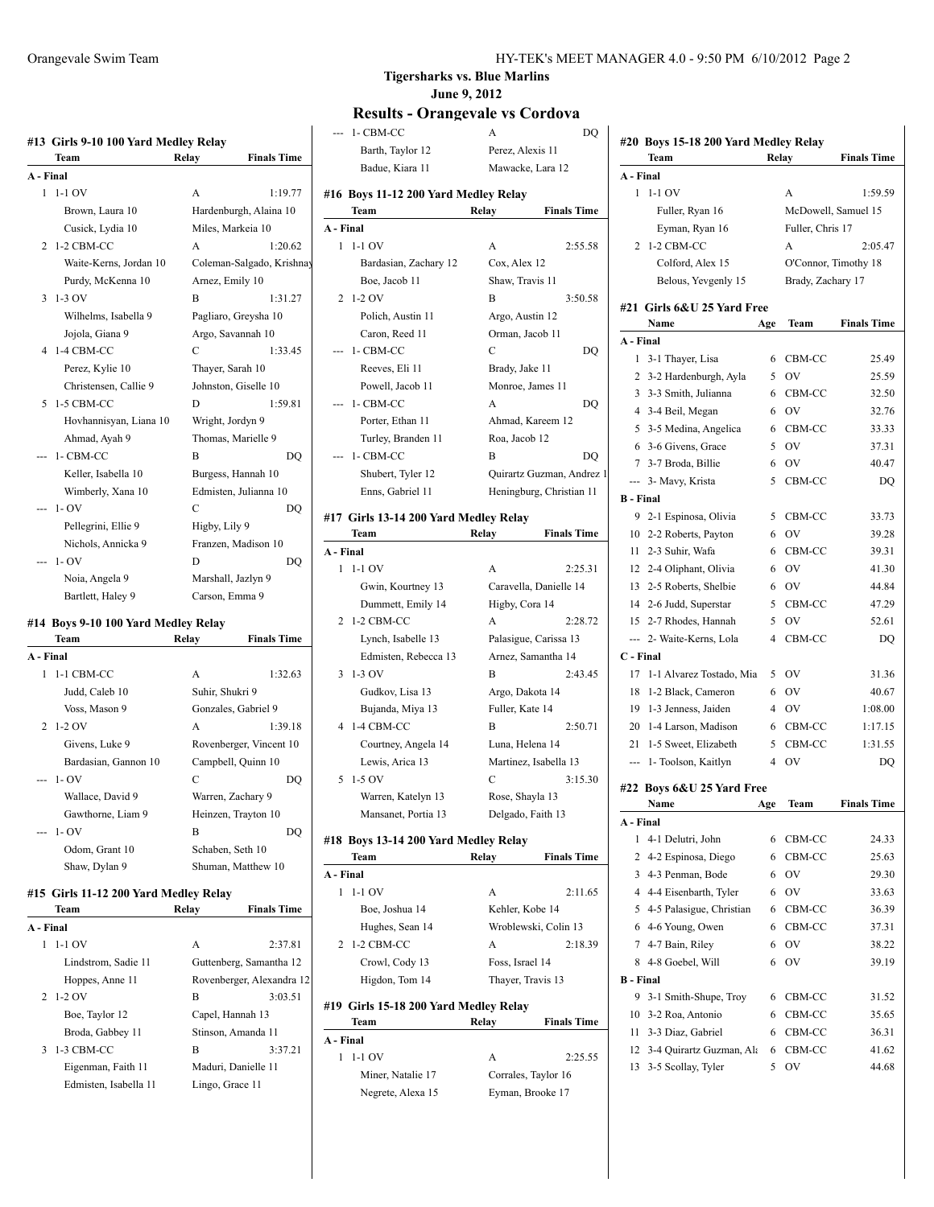|           | Team                                | Relay            | <b>Finals Time</b>        |
|-----------|-------------------------------------|------------------|---------------------------|
| A - Final |                                     |                  |                           |
| 1         | $1-1$ OV                            | A                | 1:19.77                   |
|           | Brown, Laura 10                     |                  | Hardenburgh, Alaina 10    |
|           | Cusick, Lydia 10                    |                  | Miles, Markeia 10         |
| 2         | 1-2 CBM-CC                          | A                | 1:20.62                   |
|           | Waite-Kerns, Jordan 10              |                  | Coleman-Salgado, Krishnay |
|           | Purdy, McKenna 10                   | Arnez, Emily 10  |                           |
| 3         | 1-3 OV                              | B                | 1:31.27                   |
|           | Wilhelms, Isabella 9                |                  | Pagliaro, Greysha 10      |
|           | Jojola, Giana 9                     |                  | Argo, Savannah 10         |
| 4         | 1-4 CBM-CC                          | C                | 1:33.45                   |
|           | Perez, Kylie 10                     | Thayer, Sarah 10 |                           |
|           | Christensen, Callie 9               |                  | Johnston, Giselle 10      |
| 5         | 1-5 CBM-CC                          | D                | 1:59.81                   |
|           | Hovhannisyan, Liana 10              | Wright, Jordyn 9 |                           |
|           | Ahmad, Ayah 9                       |                  | Thomas, Marielle 9        |
|           | 1- CBM-CC                           | B                | DO                        |
|           | Keller, Isabella 10                 |                  | Burgess, Hannah 10        |
|           | Wimberly, Xana 10                   |                  | Edmisten, Julianna 10     |
|           | $1 - OV$                            | C                | DO                        |
|           | Pellegrini, Ellie 9                 | Higby, Lily 9    |                           |
|           | Nichols, Annicka 9                  |                  | Franzen, Madison 10       |
|           | $1 - OV$                            | D                | DO                        |
|           | Noia, Angela 9                      |                  | Marshall, Jazlyn 9        |
|           | Bartlett, Haley 9                   | Carson, Emma 9   |                           |
|           | #14 Boys 9-10 100 Yard Medley Relay |                  |                           |
|           | Team                                | Relay            | <b>Finals Time</b>        |
| A - Final |                                     |                  |                           |
| 1         | 1-1 CBM-CC                          | A                | 1:32.63                   |
|           | Judd. Caleb 10                      | Suhir. Shukri 9  |                           |

| Judd, Caleb 10       | Suhir, Shukri 9         |         |
|----------------------|-------------------------|---------|
| Voss, Mason 9        | Gonzales, Gabriel 9     |         |
| $2 \t1-2$ OV         | A                       | 1:39.18 |
| Givens, Luke 9       | Rovenberger, Vincent 10 |         |
| Bardasian, Gannon 10 | Campbell, Quinn 10      |         |
| $- - 1 - OV$         | C                       |         |
| Wallace, David 9     | Warren, Zachary 9       |         |
| Gawthorne, Liam 9    | Heinzen, Trayton 10     |         |
| $- - 1 - OV$         | B                       |         |
| Odom, Grant 10       | Schaben, Seth 10        |         |
| Shaw, Dylan 9        | Shuman, Matthew 10      |         |

# **#15 Girls 11-12 200 Yard Medley Relay**

|           | <b>Team</b>           | Relay           | <b>Finals Time</b>        |
|-----------|-----------------------|-----------------|---------------------------|
| A - Final |                       |                 |                           |
| 1         | $1-1$ OV              | A               | 2:37.81                   |
|           | Lindstrom, Sadie 11   |                 | Guttenberg, Samantha 12   |
|           | Hoppes, Anne 11       |                 | Rovenberger, Alexandra 12 |
|           | $2\;1\;2\;0$ V        | B               | 3:03.51                   |
|           | Boe, Taylor 12        |                 | Capel, Hannah 13          |
|           | Broda, Gabbey 11      |                 | Stinson, Amanda 11        |
| 3         | 1-3 CBM-CC            | B               | 3:37.21                   |
|           | Eigenman, Faith 11    |                 | Maduri, Danielle 11       |
|           | Edmisten, Isabella 11 | Lingo, Grace 11 |                           |
|           |                       |                 |                           |

 $\overline{1}$ 

#### **Tigersharks vs. Blue Marlins June 9, 2012**

### **Results - Orangevale vs Cordova**

 $\overline{1}$ 

|             | --- 1- CBM-CC                         | A                                    | DQ                        |                  | #20 Boys 15-18 200 Yard Medley Relay |       |                   |                      |
|-------------|---------------------------------------|--------------------------------------|---------------------------|------------------|--------------------------------------|-------|-------------------|----------------------|
| als Time    | Barth, Taylor 12                      | Perez, Alexis 11                     |                           |                  | Team                                 | Relay |                   | <b>Finals Time</b>   |
|             | Badue, Kiara 11                       |                                      | Mawacke, Lara 12          | A - Final        |                                      |       |                   |                      |
|             |                                       |                                      |                           |                  | $1 - 1 - 1$ OV                       |       |                   | 1:59.59              |
| 1:19.77     | #16 Boys 11-12 200 Yard Medley Relay  |                                      |                           |                  |                                      |       | A                 |                      |
| aina 10     | Team                                  | Relay                                | <b>Finals Time</b>        |                  | Fuller, Ryan 16                      |       |                   | McDowell, Samuel 15  |
|             | A - Final                             |                                      |                           |                  | Eyman, Ryan 16                       |       | Fuller, Chris 17  |                      |
| 1:20.62     | $1 - 1 - 1$ OV                        | A                                    | 2:55.58                   |                  | 2 1-2 CBM-CC                         |       | A                 | 2:05.47              |
| o, Krishnay | Bardasian, Zachary 12                 | Cox, Alex 12                         |                           |                  | Colford, Alex 15                     |       |                   | O'Connor, Timothy 18 |
|             | Boe, Jacob 11                         | Shaw, Travis 11                      |                           |                  | Belous, Yevgenly 15                  |       | Brady, Zachary 17 |                      |
| 1:31.27     | 2 1-2 OV                              | B                                    | 3:50.58                   |                  | #21 Girls 6&U 25 Yard Free           |       |                   |                      |
|             | Polich, Austin 11                     | Argo, Austin 12                      |                           |                  | Name                                 | Age   | Team              | <b>Finals Time</b>   |
|             | Caron, Reed 11                        | Orman, Jacob 11                      |                           | A - Final        |                                      |       |                   |                      |
|             | --- 1- CBM-CC                         | C                                    | DQ                        |                  | 1 3-1 Thayer, Lisa                   |       | 6 CBM-CC          | 25.49                |
|             | Reeves, Eli 11                        | Brady, Jake 11                       |                           |                  |                                      | 5     | OV                |                      |
|             | Powell, Jacob 11                      | Monroe, James 11                     |                           |                  | 2 3-2 Hardenburgh, Ayla              |       |                   | 25.59                |
|             | --- 1- CBM-CC                         | A                                    | DQ                        |                  | 3 3-3 Smith, Julianna                |       | 6 CBM-CC          | 32.50                |
|             | Porter, Ethan 11                      |                                      | Ahmad, Kareem 12          |                  | 4 3-4 Beil, Megan                    | 6     | <b>OV</b>         | 32.76                |
|             | Turley, Branden 11                    | Roa, Jacob 12                        |                           |                  | 5 3-5 Medina, Angelica               |       | 6 CBM-CC          | 33.33                |
|             | --- 1- CBM-CC                         | B                                    | DQ                        |                  | 6 3-6 Givens, Grace                  | 5     | OV                | 37.31                |
|             | Shubert, Tyler 12                     |                                      | Quirartz Guzman, Andrez 1 |                  | 7 3-7 Broda, Billie                  | 6     | <b>OV</b>         | 40.47                |
|             | Enns, Gabriel 11                      |                                      | Heningburg, Christian 11  |                  | --- 3- Mavy, Krista                  | 5     | CBM-CC            | DQ                   |
|             |                                       |                                      |                           | <b>B</b> - Final |                                      |       |                   |                      |
|             | #17 Girls 13-14 200 Yard Medley Relay |                                      |                           |                  | 9 2-1 Espinosa, Olivia               |       | 5 CBM-CC          | 33.73                |
|             | Team                                  | Relay                                | <b>Finals Time</b>        |                  | 10 2-2 Roberts, Payton               | 6     | <b>OV</b>         | 39.28                |
|             | A - Final                             |                                      |                           |                  | 11 2-3 Suhir, Wafa                   | 6     | CBM-CC            | 39.31                |
|             | $1 - 1 - 1$ OV                        | A                                    | 2:25.31                   |                  | 12 2-4 Oliphant, Olivia              | 6     | <b>OV</b>         | 41.30                |
|             | Gwin, Kourtney 13                     |                                      | Caravella, Danielle 14    |                  | 13 2-5 Roberts, Shelbie              | 6     | 0V                | 44.84                |
|             | Dummett, Emily 14                     | Higby, Cora 14                       |                           |                  | 14 2-6 Judd, Superstar               | 5     | CBM-CC            | 47.29                |
|             | 2 1-2 CBM-CC                          | A                                    | 2:28.72                   |                  | 15 2-7 Rhodes, Hannah                | 5     | OV                | 52.61                |
|             | Lynch, Isabelle 13                    |                                      | Palasigue, Carissa 13     |                  | --- 2- Waite-Kerns, Lola             |       | 4 CBM-CC          | DQ                   |
|             | Edmisten, Rebecca 13                  |                                      | Arnez, Samantha 14        | C - Final        |                                      |       |                   |                      |
|             | $3 \; 1 - 3 \; OV$                    | B                                    | 2:43.45                   |                  | 17 1-1 Alvarez Tostado, Mia          |       | 5 OV              | 31.36                |
|             | Gudkov, Lisa 13                       | Argo, Dakota 14                      |                           |                  | 18 1-2 Black, Cameron                |       | 6 OV              | 40.67                |
|             | Bujanda, Miya 13                      | Fuller, Kate 14                      |                           |                  | 19 1-3 Jenness, Jaiden               |       | 4 OV              | 1:08.00              |
|             | 4 1-4 CBM-CC                          | B                                    | 2:50.71                   |                  | 20 1-4 Larson, Madison               |       | 6 CBM-CC          | 1:17.15              |
|             | Courtney, Angela 14                   | Luna, Helena 14                      |                           |                  | 21 1-5 Sweet, Elizabeth              | 5     | CBM-CC            | 1:31.55              |
|             | Lewis, Arica 13                       |                                      | Martinez, Isabella 13     |                  | --- 1- Toolson, Kaitlyn              |       | 4 OV              | DQ                   |
|             | 5 1-5 OV                              | C                                    | 3:15.30                   |                  |                                      |       |                   |                      |
|             |                                       |                                      |                           |                  | #22 Boys 6&U 25 Yard Free            |       |                   |                      |
|             | Warren, Katelyn 13                    | Rose, Shayla 13<br>Delgado, Faith 13 |                           |                  | Name                                 | Age   | Team              | <b>Finals Time</b>   |
|             | Mansanet, Portia 13                   |                                      |                           | A - Final        |                                      |       |                   |                      |
|             | #18 Boys 13-14 200 Yard Medley Relay  |                                      |                           |                  | 1 4-1 Delutri, John                  |       | 6 CBM-CC          | 24.33                |
|             | Team                                  | Relay                                | <b>Finals Time</b>        |                  | 2 4-2 Espinosa, Diego                |       | 6 CBM-CC          | 25.63                |
|             | A - Final                             |                                      |                           |                  | 3 4-3 Penman, Bode                   |       | 6 OV              | 29.30                |
|             | $1 - 1 - 1$ OV                        | A                                    | 2:11.65                   |                  | 4 4-4 Eisenbarth, Tyler              |       | 6 OV              | 33.63                |
|             | Boe, Joshua 14                        | Kehler, Kobe 14                      |                           |                  | 5 4-5 Palasigue, Christian           |       | 6 CBM-CC          | 36.39                |
|             | Hughes, Sean 14                       |                                      | Wroblewski, Colin 13      |                  | 6 4-6 Young, Owen                    |       | 6 CBM-CC          | 37.31                |
|             | 2 1-2 CBM-CC                          | A                                    | 2:18.39                   |                  | 7 4-7 Bain, Riley                    | 6     | <b>OV</b>         | 38.22                |
|             | Crowl, Cody 13                        | Foss, Israel 14                      |                           |                  | 8 4-8 Goebel, Will                   |       | 6 OV              | 39.19                |
|             |                                       |                                      |                           |                  |                                      |       |                   |                      |
| exandra 12  | Higdon, Tom 14                        | Thayer, Travis 13                    |                           | <b>B</b> - Final |                                      |       |                   |                      |
|             | #19 Girls 15-18 200 Yard Medley Relay |                                      |                           |                  | 9 3-1 Smith-Shupe, Troy              |       | 6 CBM-CC          | 31.52                |
|             | Team                                  | Relay                                | <b>Finals Time</b>        |                  | 10 3-2 Roa, Antonio                  |       | 6 CBM-CC          | 35.65                |
|             | A - Final                             |                                      |                           |                  | 11 3-3 Diaz, Gabriel                 |       | 6 CBM-CC          | 36.31                |
|             | $1 - 1 - 1$ OV                        | A                                    | 2:25.55                   |                  | 12 3-4 Quirartz Guzman, Ala          |       | 6 CBM-CC          | 41.62                |
|             | Miner, Natalie 17                     |                                      | Corrales, Taylor 16       |                  | 13 3-5 Scollay, Tyler                |       | 5 OV              | 44.68                |
|             | Negrete, Alexa 15                     |                                      | Eyman, Brooke 17          |                  |                                      |       |                   |                      |
|             |                                       |                                      |                           |                  |                                      |       |                   |                      |
|             |                                       |                                      |                           |                  |                                      |       |                   |                      |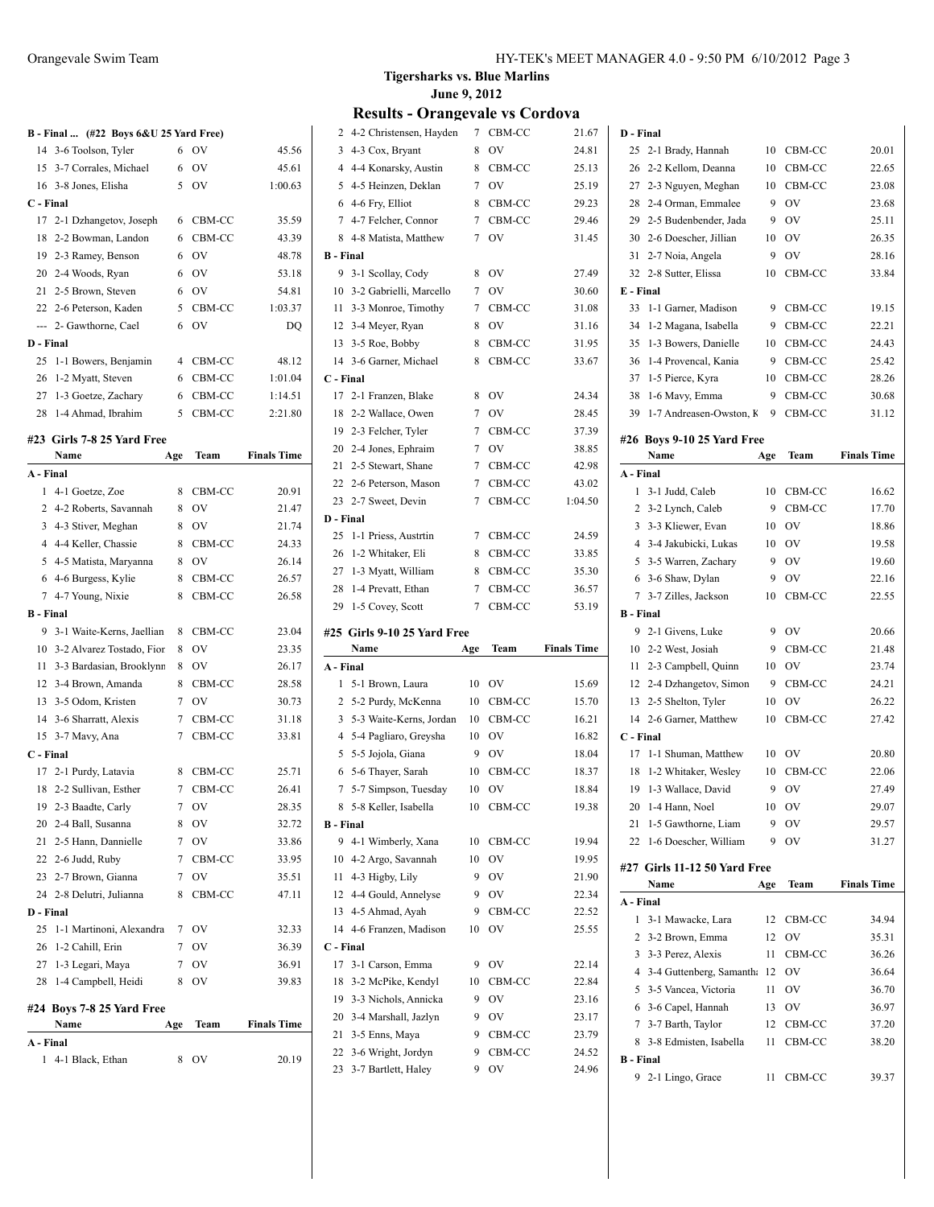|  | $B - Final$ (#22 Boys $6&U$ 25 Yard Free) |  |
|--|-------------------------------------------|--|
|  |                                           |  |

|           | 14 3-6 Toolson, Tyler     | 6  | <b>OV</b> | 45.56   |
|-----------|---------------------------|----|-----------|---------|
|           | 15 3-7 Corrales, Michael  | 6  | OV        | 45.61   |
|           | 16 3-8 Jones, Elisha      | 5  | OV        | 1:00.63 |
| C - Final |                           |    |           |         |
|           | 17 2-1 Dzhangetov, Joseph | 6  | CBM-CC    | 35.59   |
|           | 18 2-2 Bowman, Landon     | 6  | CBM-CC    | 43.39   |
|           | 19 2-3 Ramey, Benson      | 6  | OV        | 48.78   |
|           | 20 2-4 Woods, Ryan        | 6  | OV        | 53.18   |
|           | 21 2-5 Brown, Steven      | 6  | OV        | 54.81   |
|           | 22 2-6 Peterson, Kaden    |    | 5 CBM-CC  | 1:03.37 |
|           | --- 2- Gawthorne, Cael    | 6  | OV        | DO      |
| D - Final |                           |    |           |         |
|           | 25 1-1 Bowers, Benjamin   | 4  | CBM-CC    | 48.12   |
|           | 26 1-2 Myatt, Steven      | 6  | CBM-CC    | 1:01.04 |
|           | 27 1-3 Goetze, Zachary    | 6  | CBM-CC    | 1:14.51 |
|           | 28 1-4 Ahmad, Ibrahim     | 5. | CBM-CC    | 2:21.80 |

### **#23 Girls 7-8 25 Yard Free**

|                  | Name                         | Age | Team           | <b>Finals Time</b> |
|------------------|------------------------------|-----|----------------|--------------------|
| A - Final        |                              |     |                |                    |
| 1                | 4-1 Goetze, Zoe              | 8   | CBM-CC         | 20.91              |
| 2                | 4-2 Roberts, Savannah        | 8   | OV             | 21.47              |
|                  | 3 4-3 Stiver, Meghan         | 8   | OV             | 21.74              |
|                  | 4 4-4 Keller, Chassie        | 8   | CBM-CC         | 24.33              |
|                  | 5 4-5 Matista, Maryanna      | 8   | OV             | 26.14              |
| 6                | 4-6 Burgess, Kylie           | 8   | CBM-CC         | 26.57              |
| 7                | 4-7 Young, Nixie             | 8   | CBM-CC         | 26.58              |
| <b>B</b> - Final |                              |     |                |                    |
| 9                | 3-1 Waite-Kerns, Jaellian    | 8   | CBM-CC         | 23.04              |
|                  | 10 3-2 Alvarez Tostado, Fior | 8   | OV             | 23.35              |
|                  | 11 3-3 Bardasian, Brooklynn  | 8   | OV             | 26.17              |
|                  | 12 3-4 Brown, Amanda         | 8   | CBM-CC         | 28.58              |
|                  | 13 3-5 Odom, Kristen         | 7   | OV             | 30.73              |
| 14               | 3-6 Sharratt, Alexis         | 7   | CBM-CC         | 31.18              |
| 15               | 3-7 Mavy, Ana                | 7   | CBM-CC         | 33.81              |
| C - Final        |                              |     |                |                    |
| 17               | 2-1 Purdy, Latavia           | 8   | CBM-CC         | 25.71              |
| 18               | 2-2 Sullivan, Esther         | 7   | CBM-CC         | 26.41              |
| 19               | 2-3 Baadte, Carly            | 7   | OV             | 28.35              |
|                  | 20 2-4 Ball, Susanna         | 8   | OV             | 32.72              |
| 21               | 2-5 Hann, Dannielle          | 7   | OV             | 33.86              |
|                  | 22 2-6 Judd, Ruby            | 7   | CBM-CC         | 33.95              |
| 23               | 2-7 Brown, Gianna            | 7   | O <sub>V</sub> | 35.51              |
| 24               | 2-8 Delutri, Julianna        | 8   | CBM-CC         | 47.11              |
| D - Final        |                              |     |                |                    |
| 25               | 1-1 Martinoni, Alexandra     | 7   | OV             | 32.33              |
| 26               | 1-2 Cahill, Erin             | 7   | OV             | 36.39              |
| 27               | 1-3 Legari, Maya             | 7   | OV             | 36.91              |
| 28               | 1-4 Campbell, Heidi          | 8   | OV             | 39.83              |
|                  | #24 Boys 7-8 25 Yard Free    |     |                |                    |
|                  | Name                         | Age | Team           | <b>Finals Time</b> |
| A - Final        |                              |     |                |                    |
| $\mathbf{1}$     | 4-1 Black, Ethan             | 8   | OV             | 20.19              |
|                  |                              |     |                |                    |

### **Tigersharks vs. Blue Marlins June 9, 2012**

|                       | $\mathbf{u}$ ult $\mathbf{v}$ – $\mathbf{v}$<br>огандстан тэ |                | ◡ण           | uvva               |
|-----------------------|--------------------------------------------------------------|----------------|--------------|--------------------|
| 2                     | 4-2 Christensen, Hayden                                      |                | 7 CBM-CC     | 21.67              |
| 3                     | 4-3 Cox, Bryant                                              | 8              | OV           | 24.81              |
| 4                     | 4-4 Konarsky, Austin                                         | 8              | CBM-CC       | 25.13              |
| 5                     | 4-5 Heinzen, Deklan                                          | 7              | OV           | 25.19              |
|                       | 6 4-6 Fry, Elliot                                            | 8              | CBM-CC       | 29.23              |
| 7                     | 4-7 Felcher, Connor                                          | $\overline{7}$ | CBM-CC       | 29.46              |
| 8                     | 4-8 Matista, Matthew                                         | 7              | OV           | 31.45              |
| <b>B</b> - Final      |                                                              |                |              |                    |
| 9                     | 3-1 Scollay, Cody                                            | 8              | OV           | 27.49              |
| 10                    | 3-2 Gabrielli, Marcello                                      | 7              | OV           | 30.60              |
| 11                    | 3-3 Monroe, Timothy                                          | 7              | CBM-CC       | 31.08              |
| 12                    | 3-4 Meyer, Ryan                                              | 8              | OV           | 31.16              |
| 13                    | 3-5 Roe, Bobby                                               | 8              | CBM-CC       | 31.95              |
| 14                    | 3-6 Garner, Michael                                          | 8              | CBM-CC       | 33.67              |
| C - Final             |                                                              |                |              |                    |
| 17                    | 2-1 Franzen, Blake                                           | 8              | OV           | 24.34              |
| 18                    | 2-2 Wallace, Owen                                            | 7              | OV           | 28.45              |
| 19                    | 2-3 Felcher, Tyler                                           | 7              | CBM-CC       | 37.39              |
|                       | 20 2-4 Jones, Ephraim                                        | 7              | OV           | 38.85              |
| 21                    | 2-5 Stewart, Shane                                           | 7              | CBM-CC       | 42.98              |
|                       | 22 2-6 Peterson, Mason                                       | 7              | CBM-CC       | 43.02              |
| 23                    | 2-7 Sweet, Devin                                             | 7              | CBM-CC       | 1:04.50            |
| D - Final             |                                                              |                |              |                    |
| 25                    | 1-1 Priess, Austrtin                                         | 7              | CBM-CC       | 24.59              |
| 26                    | 1-2 Whitaker, Eli                                            | 8              | CBM-CC       | 33.85              |
|                       | 27 1-3 Myatt, William                                        | 8              | CBM-CC       | 35.30              |
| 28                    | 1-4 Prevatt, Ethan                                           | 7              | CBM-CC       | 36.57              |
|                       |                                                              |                |              |                    |
| 29                    | 1-5 Covey, Scott                                             | 7              | CBM-CC       | 53.19              |
|                       |                                                              |                |              |                    |
|                       | #25 Girls 9-10 25 Yard Free                                  |                |              |                    |
|                       | Name                                                         | Age            | Team         | <b>Finals Time</b> |
| A - Final             |                                                              |                |              |                    |
| 1                     | 5-1 Brown, Laura                                             | 10             | OV           | 15.69              |
| 2                     | 5-2 Purdy, McKenna                                           | 10             | CBM-CC       | 15.70              |
| 3                     | 5-3 Waite-Kerns, Jordan                                      | 10             | CBM-CC       | 16.21              |
| 4                     | 5-4 Pagliaro, Greysha                                        | 10             | OV           | 16.82              |
| 5                     | 5-5 Jojola, Giana                                            | 9              | OV           | 18.04              |
| 6                     | 5-6 Thayer, Sarah                                            | 10             | CBM-CC<br>OV | 18.37              |
| 7                     | 5-7 Simpson, Tuesday                                         | 10             |              | 18.84              |
| 8                     | 5-8 Keller, Isabella                                         | 10             | CBM-CC       | 19.38              |
| <b>B</b> - Final<br>9 | 4-1 Wimberly, Xana                                           | 10             | CBM-CC       | 19.94              |
| 10                    | 4-2 Argo, Savannah                                           | 10             | OV           | 19.95              |
| 11                    | 4-3 Higby, Lily                                              | 9              | OV           | 21.90              |
| 12                    |                                                              | 9              | OV           | 22.34              |
| 13                    | 4-4 Gould, Annelyse<br>4-5 Ahmad, Ayah                       | 9              | CBM-CC       | 22.52              |
| 14                    | 4-6 Franzen, Madison                                         | 10             | OV           | 25.55              |
| C - Final             |                                                              |                |              |                    |
| 17                    | 3-1 Carson, Emma                                             | 9              | OV           | 22.14              |
| 18                    | 3-2 McPike, Kendyl                                           | 10             | CBM-CC       | 22.84              |
| 19                    | 3-3 Nichols, Annicka                                         | 9              | OV           | 23.16              |
| 20                    | 3-4 Marshall, Jazlyn                                         | 9              | OV           | 23.17              |
| 21                    | 3-5 Enns, Maya                                               | 9              | CBM-CC       | 23.79              |
| 22                    | 3-6 Wright, Jordyn                                           | 9              | CBM-CC       | 24.52              |

| D - Final        |                              |     |                |                    |
|------------------|------------------------------|-----|----------------|--------------------|
| 25               | 2-1 Brady, Hannah            | 10  | CBM-CC         | 20.01              |
| 26               | 2-2 Kellom, Deanna           | 10  | CBM-CC         | 22.65              |
| 27               | 2-3 Nguyen, Meghan           | 10  | CBM-CC         | 23.08              |
| 28               | 2-4 Orman, Emmalee           | 9   | OV             | 23.68              |
| 29               | 2-5 Budenbender, Jada        | 9   | OV             | 25.11              |
| 30               | 2-6 Doescher, Jillian        | 10  | OV             | 26.35              |
| 31               | 2-7 Noia, Angela             | 9   | OV             | 28.16              |
| 32               | 2-8 Sutter, Elissa           | 10  | CBM-CC         | 33.84              |
| E - Final        |                              |     |                |                    |
| 33               | 1-1 Garner, Madison          | 9   | CBM-CC         | 19.15              |
| 34               | 1-2 Magana, Isabella         | 9   | CBM-CC         | 22.21              |
| 35               | 1-3 Bowers, Danielle         | 10  | CBM-CC         | 24.43              |
| 36               | 1-4 Provencal, Kania         | 9   | CBM-CC         | 25.42              |
| 37               | 1-5 Pierce, Kyra             | 10  | CBM-CC         | 28.26              |
| 38               | 1-6 Mavy, Emma               | 9   | CBM-CC         | 30.68              |
| 39               | 1-7 Andreasen-Owston, K      | 9   | CBM-CC         | 31.12              |
|                  | #26 Boys 9-10 25 Yard Free   |     |                |                    |
|                  | Name                         | Age | Team           | <b>Finals Time</b> |
| A - Final        |                              |     |                |                    |
| 1                | 3-1 Judd, Caleb              | 10  | CBM-CC         | 16.62              |
| 2                | 3-2 Lynch, Caleb             | 9   | CBM-CC         | 17.70              |
| 3                | 3-3 Kliewer, Evan            | 10  | OV             | 18.86              |
| 4                | 3-4 Jakubicki, Lukas         | 10  | OV             | 19.58              |
| 5                | 3-5 Warren, Zachary          | 9   | OV             | 19.60              |
| 6                | 3-6 Shaw, Dylan              | 9   | OV             | 22.16              |
| 7                | 3-7 Zilles, Jackson          | 10  | CBM-CC         | 22.55              |
| <b>B</b> - Final |                              |     |                |                    |
| 9                | 2-1 Givens, Luke             | 9   | OV             | 20.66              |
| 10               | 2-2 West, Josiah             | 9   | CBM-CC         | 21.48              |
| 11               | 2-3 Campbell, Quinn          | 10  | OV             | 23.74              |
| 12               | 2-4 Dzhangetov, Simon        | 9   | CBM-CC         | 24.21              |
| 13               | 2-5 Shelton, Tyler           | 10  | OV             | 26.22              |
| 14               | 2-6 Garner, Matthew          | 10  | CBM-CC         | 27.42              |
| C - Final        |                              |     |                |                    |
| 17               | 1-1 Shuman, Matthew          | 10  | OV             | 20.80              |
| 18               | 1-2 Whitaker, Wesley         | 10  | CBM-CC         | 22.06              |
| 19               | 1-3 Wallace, David           | 9   | O <sub>V</sub> | 27.49              |
|                  | 20 1-4 Hann, Noel            | 10  | OV             | 29.07              |
|                  | 21 1-5 Gawthorne, Liam       | 9   | OV             | 29.57              |
|                  | 22 1-6 Doescher, William     | 9   | OV             | 31.27              |
|                  | #27 Girls 11-12 50 Yard Free |     |                |                    |
|                  | Name                         | Age | Team           | <b>Finals Time</b> |
| A - Final        |                              |     |                |                    |
| 1                | 3-1 Mawacke, Lara            | 12  | CBM-CC         | 34.94              |
| 2                | 3-2 Brown, Emma              | 12  | OV             | 35.31              |
| 3                | 3-3 Perez, Alexis            | 11  | CBM-CC         | 36.26              |
|                  | 4 3-4 Guttenberg, Samantha   | 12  | OV             | 36.64              |
| 5                | 3-5 Vancea, Victoria         | 11  | <b>OV</b>      | 36.70              |
| 6                | 3-6 Capel, Hannah            |     | 13 OV          | 36.97              |
| 7                | 3-7 Barth, Taylor            |     | 12 CBM-CC      | 37.20              |
| 8                | 3-8 Edmisten, Isabella       | 11  | CBM-CC         | 38.20              |
| <b>B</b> - Final |                              |     |                |                    |
| 9.               | 2-1 Lingo, Grace             | 11  | CBM-CC         | 39.37              |
|                  |                              |     |                |                    |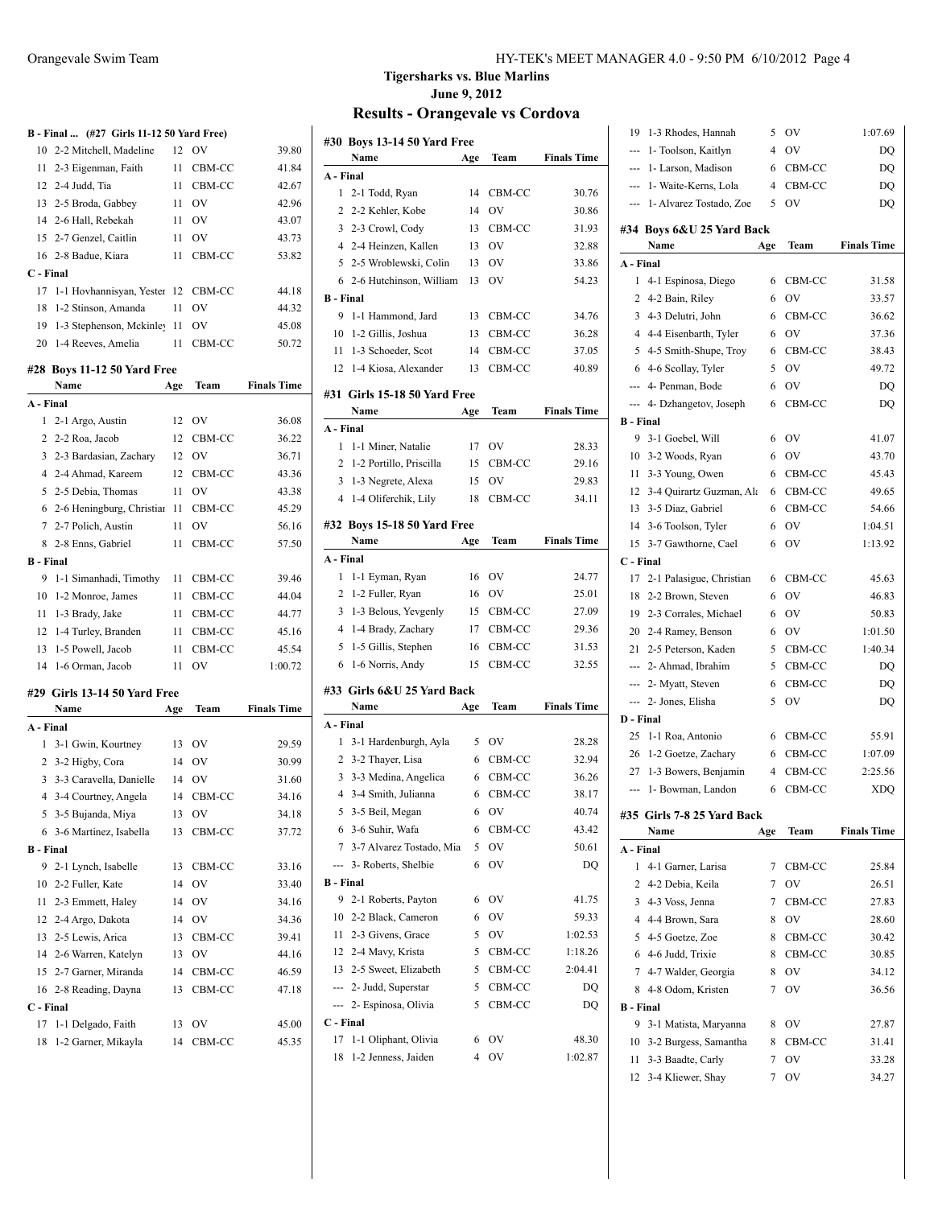|                  | B - Final  (#27 Girls 11-12 50 Yard Free) |          |              |                    |
|------------------|-------------------------------------------|----------|--------------|--------------------|
| 10               | 2-2 Mitchell, Madeline                    | 12       | OV           | 39.80              |
|                  | 11 2-3 Eigenman, Faith                    | 11       | CBM-CC       | 41.84              |
|                  | 12 2-4 Judd, Tia                          | 11       | CBM-CC       | 42.67              |
|                  | 13 2-5 Broda, Gabbey                      | 11       | OV           | 42.96              |
|                  | 14 2-6 Hall, Rebekah                      | 11       | <b>OV</b>    | 43.07              |
| 15               | 2-7 Genzel, Caitlin                       | 11       | OV           | 43.73              |
| 16               | 2-8 Badue, Kiara                          | 11       | CBM-CC       | 53.82              |
| $C$ - Final      |                                           |          |              |                    |
| 17               | 1-1 Hovhannisyan, Yester                  |          | 12 CBM-CC    | 44.18              |
| 18               | 1-2 Stinson, Amanda                       | 11       | <b>OV</b>    | 44.32              |
|                  | 19 1-3 Stephenson, Mckinley               | 11       | 0V           | 45.08              |
|                  | 20 1-4 Reeves, Amelia                     | 11       | CBM-CC       | 50.72              |
|                  |                                           |          |              |                    |
|                  | #28 Boys 11-12 50 Yard Free               |          |              |                    |
|                  | Name                                      | Age      | Team         | <b>Finals Time</b> |
| A - Final        |                                           |          |              |                    |
| 1                | 2-1 Argo, Austin                          | 12       | - OV         | 36.08              |
| 2                | 2-2 Roa, Jacob                            | 12       | CBM-CC       | 36.22              |
|                  | 3 2-3 Bardasian, Zachary                  |          | 12 OV        | 36.71              |
|                  | 4 2-4 Ahmad, Kareem                       |          | 12 CBM-CC    | 43.36              |
|                  | 5 2-5 Debia, Thomas                       | 11       | - OV         | 43.38              |
|                  | 6 2-6 Heningburg, Christian               | 11       | CBM-CC       | 45.29              |
|                  | 7 2-7 Polich, Austin                      | 11       | OV           | 56.16              |
|                  | 8 2-8 Enns, Gabriel                       | 11       | CBM-CC       | 57.50              |
| <b>B</b> - Final |                                           |          |              |                    |
|                  | 9 1-1 Simanhadi, Timothy                  | 11       | CBM-CC       | 39.46              |
|                  | 10 1-2 Monroe, James                      |          | 11 CBM-CC    | 44.04              |
| 11               | 1-3 Brady, Jake                           |          | 11 CBM-CC    | 44.77              |
|                  | 12 1-4 Turley, Branden                    |          | 11 CBM-CC    | 45.16              |
| 13               | 1-5 Powell, Jacob                         | 11       | CBM-CC       | 45.54              |
|                  | 14 1-6 Orman, Jacob                       | 11       | OV           | 1:00.72            |
|                  | #29 Girls 13-14 50 Yard Free              |          |              |                    |
|                  | Name                                      | Age      | Team         | <b>Finals Time</b> |
| A - Final        |                                           |          |              |                    |
| 1                | 3-1 Gwin, Kourtney                        | 13       | - OV         | 29.59              |
|                  | 2 3-2 Higby, Cora                         | 14       | - OV         | 30.99              |
| 3                | 3-3 Caravella, Danielle                   | 14       | <b>OV</b>    | 31.60              |
| 4                | 3-4 Courtney, Angela                      | 14       | CBM-CC       | 34.16              |
| 5                | 3-5 Bujanda, Miya                         | 13       | OV           | 34.18              |
| 6                | 3-6 Martinez, Isabella                    | 13       | CBM-CC       | 37.72              |
| <b>B</b> - Final |                                           |          |              |                    |
| 9                | 2-1 Lynch, Isabelle                       | 13       | CBM-CC       | 33.16              |
| 10               | 2-2 Fuller, Kate                          | 14       | <b>OV</b>    | 33.40              |
| 11               | 2-3 Emmett, Haley                         | 14       | OV           | 34.16              |
| 12               | 2-4 Argo, Dakota                          | 14       | OV           | 34.36              |
|                  | 13 2-5 Lewis, Arica                       | 13       | CBM-CC       | 39.41              |
|                  | 14 2-6 Warren, Katelyn                    | 13       | <b>OV</b>    | 44.16              |
|                  | 15 2-7 Garner, Miranda                    | 14       | CBM-CC       | 46.59              |
|                  |                                           |          |              | 47.18              |
|                  | 16 2-8 Reading, Dayna                     | 13       | CBM-CC       |                    |
|                  |                                           |          |              |                    |
|                  | C - Final                                 |          |              |                    |
| 17<br>18         | 1-1 Delgado, Faith<br>1-2 Garner, Mikayla | 13<br>14 | OV<br>CBM-CC | 45.00<br>45.35     |

### Orangevale Swim Team HY-TEK's MEET MANAGER 4.0 - 9:50 PM 6/10/2012 Page 4

## **Tigersharks vs. Blue Marlins June 9, 2012**

|                  | #30 Boys 13-14 50 Yard Free                 |        |          |                    |
|------------------|---------------------------------------------|--------|----------|--------------------|
|                  | Name                                        | Age    | Team     | <b>Finals Time</b> |
| A - Final        |                                             |        |          |                    |
| 1                | 2-1 Todd, Ryan                              | 14     | CBM-CC   | 30.76              |
| 2                | 2-2 Kehler, Kobe                            | 14     | OV       | 30.86              |
| 3                | 2-3 Crowl, Cody                             | 13     | CBM-CC   | 31.93              |
| $\overline{4}$   | 2-4 Heinzen, Kallen                         | 13     | OV       | 32.88              |
| 5                | 2-5 Wroblewski, Colin                       | 13     | OV       | 33.86              |
| 6                | 2-6 Hutchinson, William                     | 13     | OV       | 54.23              |
| <b>B</b> - Final |                                             |        |          |                    |
| 9                | 1-1 Hammond, Jard                           | 13     | CBM-CC   | 34.76              |
| 10               | 1-2 Gillis, Joshua                          | 13     | CBM-CC   | 36.28              |
| 11               | 1-3 Schoeder, Scot                          | 14     | CBM-CC   | 37.05              |
| 12               | 1-4 Kiosa, Alexander                        | 13     | CBM-CC   | 40.89              |
|                  | #31 Girls 15-18 50 Yard Free                |        |          |                    |
|                  | Name                                        | Age    | Team     | <b>Finals Time</b> |
| A - Final        |                                             |        |          |                    |
| 1                | 1-1 Miner, Natalie                          | 17     | OV       | 28.33              |
| $\overline{2}$   | 1-2 Portillo, Priscilla                     | 15     | CBM-CC   | 29.16              |
| 3                | 1-3 Negrete, Alexa                          | 15     | OV       | 29.83              |
| 4                | 1-4 Oliferchik, Lily                        | 18     | CBM-CC   | 34.11              |
|                  | #32 Boys 15-18 50 Yard Free                 |        |          |                    |
|                  | Name                                        | Age    | Team     | <b>Finals Time</b> |
| A - Final        |                                             |        |          |                    |
| 1                | 1-1 Eyman, Ryan                             | 16     | OV       | 24.77              |
| 2                | 1-2 Fuller, Ryan                            | 16     | OV       | 25.01              |
| 3                | 1-3 Belous, Yevgenly                        | 15     | CBM-CC   | 27.09              |
| 4                | 1-4 Brady, Zachary                          | 17     | CBM-CC   | 29.36              |
| 5                | 1-5 Gillis, Stephen                         | 16     | CBM-CC   | 31.53              |
| 6                | 1-6 Norris, Andy                            | 15     | CBM-CC   | 32.55              |
|                  |                                             |        |          |                    |
|                  | #33 Girls 6&U 25 Yard Back                  |        |          |                    |
|                  | Name                                        | Age    | Team     | <b>Finals Time</b> |
| A - Final        |                                             |        |          |                    |
| 1                | 3-1 Hardenburgh, Ayla                       |        | 5 OV     | 28.28              |
| 2                | 3-2 Thayer, Lisa                            | 6      | CBM-CC   | 32.94              |
| 3                | 3-3 Medina, Angelica                        | 6      | CBM-CC   | 36.26              |
| $\overline{4}$   | 3-4 Smith, Julianna                         | 6      | CBM-CC   | 38.17              |
| 5                | 3-5 Beil, Megan                             | 6      | OV       | 40.74              |
| 6                | 3-6 Suhir, Wafa                             | 6      | CBM-CC   | 43.42              |
| 7                | 3-7 Alvarez Tostado, Mia                    | 5      | OV       | 50.61              |
| ---              | 3- Roberts, Shelbie                         | 6      | OV       | DQ                 |
| <b>B</b> - Final |                                             |        |          |                    |
| 9                | 2-1 Roberts, Payton                         | 6      | OV       | 41.75              |
| 10               | 2-2 Black, Cameron                          | 6      | OV       | 59.33              |
| 11               | 2-3 Givens, Grace                           | 5      | OV       | 1:02.53            |
|                  | 12 2-4 Mavy, Krista                         | 5      | CBM-CC   | 1:18.26            |
|                  | 13 2-5 Sweet, Elizabeth                     | 5      | CBM-CC   | 2:04.41            |
|                  | --- 2- Judd, Superstar                      | 5      | CBM-CC   | DQ                 |
| ---              | 2- Espinosa, Olivia                         | 5      | CBM-CC   | DQ                 |
| C - Final<br>17  |                                             |        |          |                    |
| 18               | 1-1 Oliphant, Olivia<br>1-2 Jenness, Jaiden | 6<br>4 | OV<br>OV | 48.30<br>1:02.87   |
|                  |                                             |        |          |                    |

| 19               | 1-3 Rhodes, Hannah                        | 5              | OV        | 1:07.69            |
|------------------|-------------------------------------------|----------------|-----------|--------------------|
| ---              | 1- Toolson, Kaitlyn                       | 4              | OV        | DQ                 |
| ---              | 1- Larson, Madison                        | 6              | CBM-CC    | DQ                 |
| ---              | 1- Waite-Kerns, Lola                      | 4              | CBM-CC    | DQ                 |
| $- - -$          | 1- Alvarez Tostado, Zoe                   | 5              | OV        | DQ                 |
|                  |                                           |                |           |                    |
|                  | #34 Boys 6&U 25 Yard Back                 |                |           |                    |
| A - Final        | Name                                      | Age            | Team      | <b>Finals Time</b> |
| 1                |                                           |                |           |                    |
|                  | 4-1 Espinosa, Diego                       | 6              | CBM-CC    | 31.58              |
| 2                | 4-2 Bain, Riley                           | 6              | OV        | 33.57              |
| 3                | 4-3 Delutri, John                         | 6              | CBM-CC    | 36.62              |
| $\overline{4}$   | 4-4 Eisenbarth, Tyler                     | 6              | OV        | 37.36              |
| 5                | 4-5 Smith-Shupe, Troy                     | 6              | CBM-CC    | 38.43              |
| 6                | 4-6 Scollay, Tyler                        | 5              | OV        | 49.72              |
|                  | --- 4- Penman, Bode                       | 6              | OV        | DQ                 |
|                  | --- 4- Dzhangetov, Joseph                 | 6              | CBM-CC    | DQ                 |
| <b>B</b> - Final |                                           |                |           |                    |
| 9                | 3-1 Goebel, Will                          | 6              | OV        | 41.07              |
| 10               | 3-2 Woods, Ryan                           | 6              | <b>OV</b> | 43.70              |
| 11               | 3-3 Young, Owen                           | 6              | CBM-CC    | 45.43              |
| 12               | 3-4 Quirartz Guzman, Ala                  | 6              | CBM-CC    | 49.65              |
| 13               | 3-5 Diaz, Gabriel                         | 6              | CBM-CC    | 54.66              |
| 14               | 3-6 Toolson, Tyler                        | 6              | <b>OV</b> | 1:04.51            |
| 15               | 3-7 Gawthorne, Cael                       | 6              | OV        | 1:13.92            |
| C - Final        |                                           |                |           |                    |
| 17               | 2-1 Palasigue, Christian                  | 6              | CBM-CC    | 45.63              |
| 18               | 2-2 Brown, Steven                         | 6              | OV        | 46.83              |
|                  |                                           |                |           |                    |
| 19               | 2-3 Corrales, Michael                     | 6              | <b>OV</b> | 50.83              |
|                  | 20 2-4 Ramey, Benson                      | 6              | OV        | 1:01.50            |
|                  | 21 2-5 Peterson, Kaden                    | 5              | CBM-CC    | 1:40.34            |
|                  | --- 2- Ahmad, Ibrahim                     | 5              | CBM-CC    | DQ                 |
|                  | --- 2- Myatt, Steven                      | 6              | CBM-CC    | DQ                 |
| $\cdots$         | 2- Jones, Elisha                          | 5              | OV        | DQ                 |
| D - Final        |                                           |                |           |                    |
| 25               | 1-1 Roa, Antonio                          | 6              | CBM-CC    | 55.91              |
| 26               | 1-2 Goetze, Zachary                       | 6              | CBM-CC    | 1:07.09            |
| 27               |                                           | $\overline{4}$ | CBM-CC    | 2:25.56            |
| ---              | 1-3 Bowers, Benjamin<br>1- Bowman, Landon | 6              | CBM-CC    | <b>XDQ</b>         |
|                  |                                           |                |           |                    |
|                  | #35 Girls 7-8 25 Yard Back                |                |           |                    |
|                  | Name                                      | Age            | Team      | <b>Finals Time</b> |
| A - Final        |                                           |                |           |                    |
| 1                | 4-1 Garner, Larisa                        | 7              | CBM-CC    | 25.84              |
| $\overline{c}$   | 4-2 Debia, Keila                          | 7              | OV        | 26.51              |
| 3                | 4-3 Voss, Jenna                           | 7              | CBM-CC    | 27.83              |
| 4                | 4-4 Brown, Sara                           | 8              | OV        | 28.60              |
| 5                | 4-5 Goetze, Zoe                           | 8              | CBM-CC    | 30.42              |
| 6                | 4-6 Judd, Trixie                          | 8              | CBM-CC    | 30.85              |
| 7                | 4-7 Walder, Georgia                       | 8              | OV        | 34.12              |
| 8                | 4-8 Odom, Kristen                         | 7              | OV        | 36.56              |
| <b>B</b> - Final |                                           |                |           |                    |
| 9                | 3-1 Matista, Maryanna                     | 8              | OV        | 27.87              |
| 10               | 3-2 Burgess, Samantha                     | 8              | CBM-CC    | 31.41              |
| 11               | 3-3 Baadte, Carly                         | 7              | OV        | 33.28              |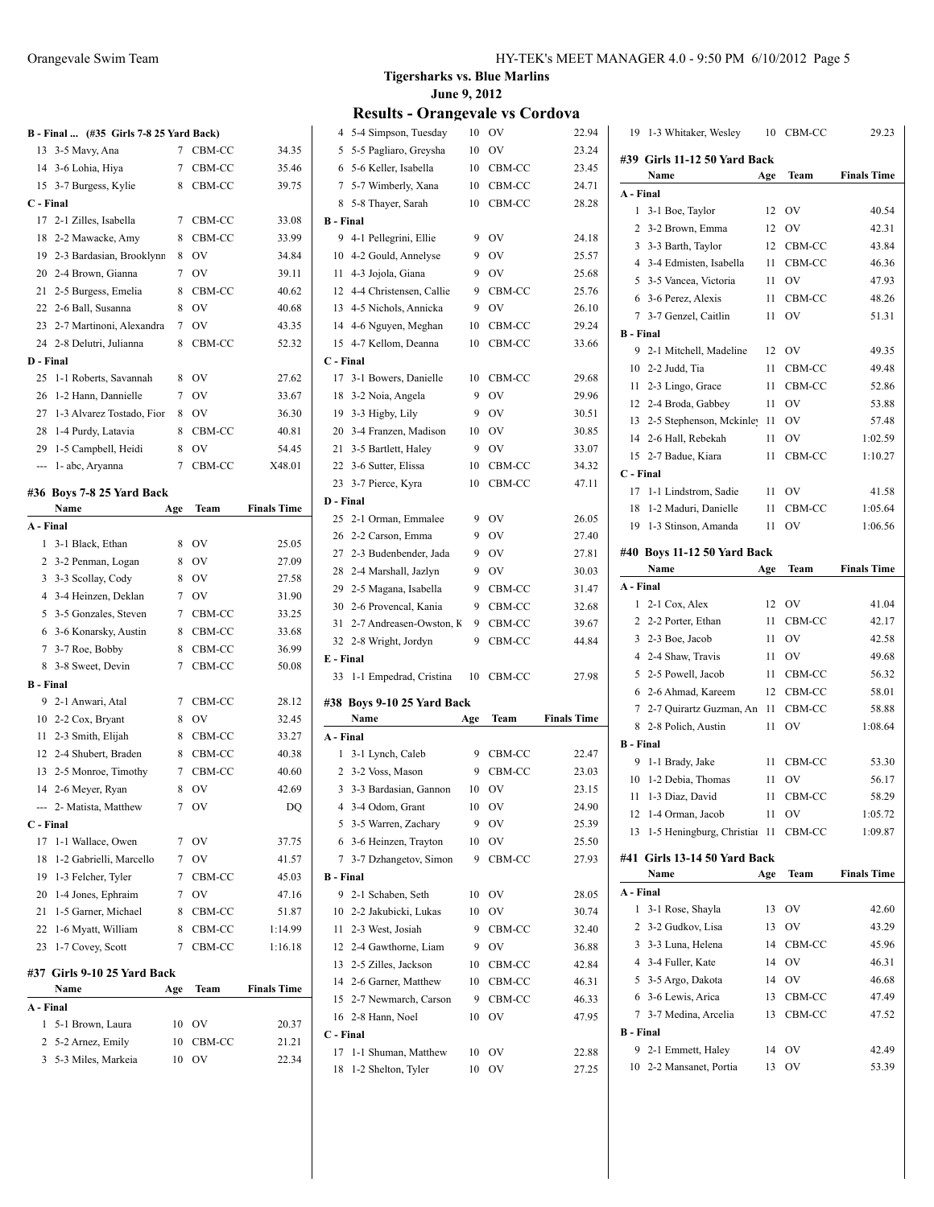## **B - Final ... (#35 Girls 7-8 25 Yard Back)**

|                  | $\frac{1}{2}$ mai $\frac{1}{2}$ $\frac{1}{2}$ $\frac{1}{2}$ of $\frac{1}{2}$ $\frac{1}{2}$ $\frac{1}{2}$ $\frac{1}{2}$ $\frac{1}{2}$ $\frac{1}{2}$ $\frac{1}{2}$ $\frac{1}{2}$ $\frac{1}{2}$ $\frac{1}{2}$ $\frac{1}{2}$ $\frac{1}{2}$ $\frac{1}{2}$ $\frac{1}{2}$ $\frac{1}{2}$ $\frac{1}{2}$ $\frac{1}{2}$ |        |           |                    |
|------------------|--------------------------------------------------------------------------------------------------------------------------------------------------------------------------------------------------------------------------------------------------------------------------------------------------------------|--------|-----------|--------------------|
|                  | 13 3-5 Mavy, Ana                                                                                                                                                                                                                                                                                             |        | 7 CBM-CC  | 34.35              |
|                  | 14 3-6 Lohia, Hiya                                                                                                                                                                                                                                                                                           |        | 7 CBM-CC  | 35.46              |
| 15               | 3-7 Burgess, Kylie                                                                                                                                                                                                                                                                                           | 8      | CBM-CC    | 39.75              |
| C - Final        |                                                                                                                                                                                                                                                                                                              |        |           |                    |
| 17               | 2-1 Zilles, Isabella                                                                                                                                                                                                                                                                                         | 7      | CBM-CC    | 33.08              |
| 18               | 2-2 Mawacke, Amy                                                                                                                                                                                                                                                                                             | 8      | CBM-CC    | 33.99              |
|                  | 19 2-3 Bardasian, Brooklynn                                                                                                                                                                                                                                                                                  | 8      | OV        | 34.84              |
| 20               | 2-4 Brown, Gianna                                                                                                                                                                                                                                                                                            | 7      | <b>OV</b> | 39.11              |
| 21               | 2-5 Burgess, Emelia                                                                                                                                                                                                                                                                                          | 8      | CBM-CC    | 40.62              |
|                  | 22 2-6 Ball, Susanna                                                                                                                                                                                                                                                                                         | 8      | OV        | 40.68              |
| 23               | 2-7 Martinoni, Alexandra                                                                                                                                                                                                                                                                                     | $\tau$ | <b>OV</b> | 43.35              |
| 24               | 2-8 Delutri, Julianna                                                                                                                                                                                                                                                                                        | 8      | CBM-CC    | 52.32              |
| D - Final        |                                                                                                                                                                                                                                                                                                              |        |           |                    |
| 25               | 1-1 Roberts, Savannah                                                                                                                                                                                                                                                                                        | 8      | OV        | 27.62              |
| 26               | 1-2 Hann, Dannielle                                                                                                                                                                                                                                                                                          | 7      | <b>OV</b> | 33.67              |
| 27               | 1-3 Alvarez Tostado, Fior                                                                                                                                                                                                                                                                                    | 8      | <b>OV</b> | 36.30              |
| 28               | 1-4 Purdy, Latavia                                                                                                                                                                                                                                                                                           | 8      | CBM-CC    | 40.81              |
|                  | 29 1-5 Campbell, Heidi                                                                                                                                                                                                                                                                                       | 8      | OV        | 54.45              |
| ---              | 1-abc, Aryanna                                                                                                                                                                                                                                                                                               | 7      | CBM-CC    | X48.01             |
|                  | #36 Boys 7-8 25 Yard Back                                                                                                                                                                                                                                                                                    |        |           |                    |
|                  | Name                                                                                                                                                                                                                                                                                                         | Age    | Team      | <b>Finals Time</b> |
| A - Final        |                                                                                                                                                                                                                                                                                                              |        |           |                    |
| 1                | 3-1 Black, Ethan                                                                                                                                                                                                                                                                                             | 8      | OV        | 25.05              |
| 2                | 3-2 Penman, Logan                                                                                                                                                                                                                                                                                            | 8      | <b>OV</b> | 27.09              |
| 3                | 3-3 Scollay, Cody                                                                                                                                                                                                                                                                                            | 8      | <b>OV</b> | 27.58              |
|                  | 4 3-4 Heinzen, Deklan                                                                                                                                                                                                                                                                                        | 7      | <b>OV</b> | 31.90              |
|                  | 5 3-5 Gonzales, Steven                                                                                                                                                                                                                                                                                       | 7      | CBM-CC    | 33.25              |
| 6                | 3-6 Konarsky, Austin                                                                                                                                                                                                                                                                                         | 8      | CBM-CC    | 33.68              |
| $7\phantom{.0}$  | 3-7 Roe, Bobby                                                                                                                                                                                                                                                                                               | 8      | CBM-CC    | 36.99              |
| 8                | 3-8 Sweet, Devin                                                                                                                                                                                                                                                                                             | 7      | CBM-CC    | 50.08              |
| <b>B</b> - Final |                                                                                                                                                                                                                                                                                                              |        |           |                    |
| 9                | 2-1 Anwari, Atal                                                                                                                                                                                                                                                                                             | 7      | CBM-CC    | 28.12              |
|                  | 10 2-2 Cox, Bryant                                                                                                                                                                                                                                                                                           | 8      | <b>OV</b> | 32.45              |
| 11               | 2-3 Smith, Elijah                                                                                                                                                                                                                                                                                            | 8      | CBM-CC    | 33.27              |
|                  | 12 2-4 Shubert, Braden                                                                                                                                                                                                                                                                                       | 8      | CBM-CC    | 40.38              |
|                  | 13 2-5 Monroe, Timothy                                                                                                                                                                                                                                                                                       |        | 7 CBM-CC  | 40.60              |
|                  | 14 2-6 Meyer, Ryan                                                                                                                                                                                                                                                                                           | 8      | OV        | 42.69              |
|                  | --- 2- Matista, Matthew                                                                                                                                                                                                                                                                                      | 7      | OV        | DQ                 |
| C - Final        |                                                                                                                                                                                                                                                                                                              |        |           |                    |
| 17               | 1-1 Wallace, Owen                                                                                                                                                                                                                                                                                            | 7      | OV        | 37.75              |
| 18               | 1-2 Gabrielli, Marcello                                                                                                                                                                                                                                                                                      | 7      | OV        | 41.57              |
| 19               | 1-3 Felcher, Tyler                                                                                                                                                                                                                                                                                           |        | 7 CBM-CC  | 45.03              |
| 20               | 1-4 Jones, Ephraim                                                                                                                                                                                                                                                                                           |        | 7 OV      | 47.16              |
| 21               | 1-5 Garner, Michael                                                                                                                                                                                                                                                                                          | 8      | CBM-CC    | 51.87              |
| 22               | 1-6 Myatt, William                                                                                                                                                                                                                                                                                           | 8      | CBM-CC    | 1:14.99            |
| 23               | 1-7 Covey, Scott                                                                                                                                                                                                                                                                                             | 7      | CBM-CC    | 1:16.18            |
|                  | #37  Girls 9-10 25 Yard Back                                                                                                                                                                                                                                                                                 |        |           |                    |
|                  | Name                                                                                                                                                                                                                                                                                                         | Age    | Team      | <b>Finals Time</b> |
| A - Final        |                                                                                                                                                                                                                                                                                                              |        |           |                    |
| 1                | 5-1 Brown, Laura                                                                                                                                                                                                                                                                                             | 10     | OV        | 20.37              |
| 2                | 5-2 Arnez, Emily                                                                                                                                                                                                                                                                                             | 10     | CBM-CC    | 21.21              |
| 3                | 5-3 Miles, Markeia                                                                                                                                                                                                                                                                                           | 10     | OV        | 22.34              |
|                  |                                                                                                                                                                                                                                                                                                              |        |           |                    |

### **Tigersharks vs. Blue Marlins June 9, 2012**

| 5-4 Simpson, Tuesday               | 10  | OV     | 22.94              |
|------------------------------------|-----|--------|--------------------|
| 5-5 Pagliaro, Greysha              | 10  | OV     | 23.24              |
| 5-6 Keller, Isabella               | 10  | CBM-CC | 23.45              |
| 5-7 Wimberly, Xana                 | 10  | CBM-CC | 24.71              |
| 5-8 Thayer, Sarah                  | 10  | CBM-CC | 28.28              |
| <b>B</b> - Final                   |     |        |                    |
| 4-1 Pellegrini, Ellie              | 9   | OV     | 24.18              |
| 4-2 Gould, Annelyse                | 9   | OV     | 25.57              |
| 4-3 Jojola, Giana                  | 9   | OV     | 25.68              |
| 4-4 Christensen, Callie            | 9   | CBM-CC | 25.76              |
| 4-5 Nichols, Annicka               | 9   | OV     | 26.10              |
| 4-6 Nguyen, Meghan                 | 10  | CBM-CC | 29.24              |
| 4-7 Kellom, Deanna                 | 10  | CBM-CC | 33.66              |
| C - Final                          |     |        |                    |
| 3-1 Bowers, Danielle               | 10  | CBM-CC | 29.68              |
| 3-2 Noia, Angela                   | 9   | OV     | 29.96              |
| 3-3 Higby, Lily                    | 9   | OV     | 30.51              |
| 3-4 Franzen, Madison               | 10  | OV     | 30.85              |
| 3-5 Bartlett, Haley                | 9   | OV     | 33.07              |
| 3-6 Sutter, Elissa<br>22           | 10  | CBM-CC | 34.32              |
| 23<br>3-7 Pierce, Kyra             | 10  | CBM-CC | 47.11              |
| D - Final                          |     |        |                    |
| 2-1 Orman, Emmalee                 | 9   | OV     | 26.05              |
| 2-2 Carson, Emma                   | 9   | OV     | 27.40              |
| 2-3 Budenbender, Jada              | 9   | OV     | 27.81              |
| 2-4 Marshall, Jazlyn               | 9   | OV     | 30.03              |
|                                    |     |        |                    |
| 2-5 Magana, Isabella               | 9   | CBM-CC | 31.47              |
| 2-6 Provencal, Kania               | 9   | CBM-CC | 32.68              |
| 2-7 Andreasen-Owston, K            | 9   | CBM-CC | 39.67              |
| 2-8 Wright, Jordyn<br>32           | 9   | CBM-CC | 44.84              |
| E - Final                          |     |        |                    |
| 1-1 Empedrad, Cristina             | 10  | CBM-CC | 27.98              |
|                                    |     |        |                    |
| #38 Boys 9-10 25 Yard Back<br>Name | Age | Team   | <b>Finals Time</b> |
| A - Final                          |     |        |                    |
| 3-1 Lynch, Caleb                   | 9   | CBM-CC | 22.47              |
| 3-2 Voss, Mason                    | 9   | CBM-CC | 23.03              |
| 3-3 Bardasian, Gannon              | 10  | OV     | 23.15              |
| 4 3-4 Odom, Grant                  | 10  | OV     | 24.90              |
| 3-5 Warren, Zachary                | 9   | OV     | 25.39              |
| 3-6 Heinzen, Trayton<br>6          | 10  | OV     | 25.50              |
| 7 3-7 Dzhangetov, Simon            | 9   | CBM-CC | 27.93              |
| <b>B</b> - Final                   |     |        |                    |
| 2-1 Schaben, Seth                  | 10  | OV     | 28.05              |
| 2-2 Jakubicki, Lukas               | 10  | OV     | 30.74              |
| 2-3 West, Josiah                   | 9   | CBM-CC | 32.40              |
| 12 2-4 Gawthorne, Liam             | 9   | OV     | 36.88              |
| 2-5 Zilles, Jackson                | 10  | CBM-CC | 42.84              |
| 14 2-6 Garner, Matthew             | 10  | CBM-CC | 46.31              |
| 2-7 Newmarch, Carson               | 9   | CBM-CC | 46.33              |
| 2-8 Hann, Noel                     | 10  | OV     | 47.95              |
| C - Final                          |     |        |                    |
| 1-1 Shuman, Matthew                | 10  | OV     | 22.88              |
|                                    |     |        |                    |

| 19               | 1-3 Whitaker, Wesley                      | 10  | CBM-CC           | 29.23              |
|------------------|-------------------------------------------|-----|------------------|--------------------|
|                  | #39 Girls 11-12 50 Yard Back              |     |                  |                    |
|                  | Name                                      | Age | Team             | <b>Finals Time</b> |
| A - Final        |                                           |     |                  |                    |
| 1                | 3-1 Boe, Taylor                           | 12  | OV               | 40.54              |
| 2                | 3-2 Brown, Emma                           | 12  | OV               | 42.31              |
| 3                | 3-3 Barth, Taylor                         | 12  | CBM-CC           | 43.84              |
| 4                | 3-4 Edmisten, Isabella                    | 11  | CBM-CC           | 46.36              |
| 5                | 3-5 Vancea, Victoria                      | 11  | OV               | 47.93              |
| 6                | 3-6 Perez, Alexis                         | 11  | CBM-CC           | 48.26              |
| 7                | 3-7 Genzel, Caitlin                       | 11  | OV               | 51.31              |
| <b>B</b> - Final |                                           |     |                  |                    |
| 9                | 2-1 Mitchell, Madeline                    | 12  | OV               | 49.35              |
|                  | 10 2-2 Judd, Tia                          | 11  | CBM-CC           | 49.48              |
| 11               | 2-3 Lingo, Grace                          | 11  | CBM-CC           | 52.86              |
| 12               | 2-4 Broda, Gabbey                         | 11  | <b>OV</b>        | 53.88              |
| 13               | 2-5 Stephenson, Mckinley                  | 11  | OV               | 57.48              |
|                  | 14 2-6 Hall, Rebekah                      | 11  | OV               | 1:02.59            |
|                  | 15 2-7 Badue, Kiara                       | 11  | CBM-CC           | 1:10.27            |
| C - Final        |                                           |     |                  |                    |
|                  | 17 1-1 Lindstrom, Sadie                   | 11  | OV               | 41.58              |
| 18               | 1-2 Maduri, Danielle                      | 11  | CBM-CC           | 1:05.64            |
| 19               | 1-3 Stinson, Amanda                       | 11  | OV               | 1:06.56            |
|                  |                                           |     |                  |                    |
|                  | #40 Boys 11-12 50 Yard Back<br>Name       | Age | Team             | <b>Finals Time</b> |
| A - Final        |                                           |     |                  |                    |
| 1                | 2-1 Cox, Alex                             | 12  | OV               | 41.04              |
|                  | 2 2-2 Porter, Ethan                       | 11  | CBM-CC           | 42.17              |
| 3                | 2-3 Boe, Jacob                            | 11  | <b>OV</b>        | 42.58              |
| 4                | 2-4 Shaw, Travis                          | 11  | OV               | 49.68              |
| 5                | 2-5 Powell, Jacob                         | 11  | CBM-CC           | 56.32              |
| 6                | 2-6 Ahmad, Kareem                         | 12  | CBM-CC           | 58.01              |
| 7                | 2-7 Quirartz Guzman, An                   | 11  | CBM-CC           | 58.88              |
| 8                | 2-8 Polich, Austin                        | 11  | OV               | 1:08.64            |
| <b>B</b> - Final |                                           |     |                  |                    |
| 9                | 1-1 Brady, Jake                           | 11  | CBM-CC           | 53.30              |
| 10               | 1-2 Debia, Thomas                         | 11  | OV               | 56.17              |
| 11               | 1-3 Diaz, David                           | 11  | CBM-CC           | 58.29              |
| 12               | 1-4 Orman, Jacob                          | 11  | OV               | 1:05.72            |
| 13               | 1-5 Heningburg, Christian                 | 11  | CBM-CC           | 1:09.87            |
|                  |                                           |     |                  |                    |
|                  | #41 Girls 13-14 50 Yard Back              |     |                  |                    |
|                  | Name                                      | Age | Team             | <b>Finals Time</b> |
| A - Final<br>1   |                                           |     |                  |                    |
|                  | 3-1 Rose, Shayla                          | 13  | OV               | 42.60              |
| 2<br>3           | 3-2 Gudkov, Lisa                          | 13  | OV               | 43.29              |
|                  | 3-3 Luna, Helena                          | 14  | CBM-CC           | 45.96              |
| $\overline{4}$   | 3-4 Fuller, Kate                          | 14  | OV               | 46.31              |
| 5                | 3-5 Argo, Dakota                          | 14  | OV               | 46.68              |
| 7                | 6 3-6 Lewis, Arica<br>3-7 Medina, Arcelia | 13  | CBM-CC<br>CBM-CC | 47.49              |
| <b>B</b> - Final |                                           | 13  |                  | 47.52              |
| 9                | 2-1 Emmett, Haley                         | 14  | OV               | 42.49              |
| 10               | 2-2 Mansanet, Portia                      | 13  | ov               | 53.39              |
|                  |                                           |     |                  |                    |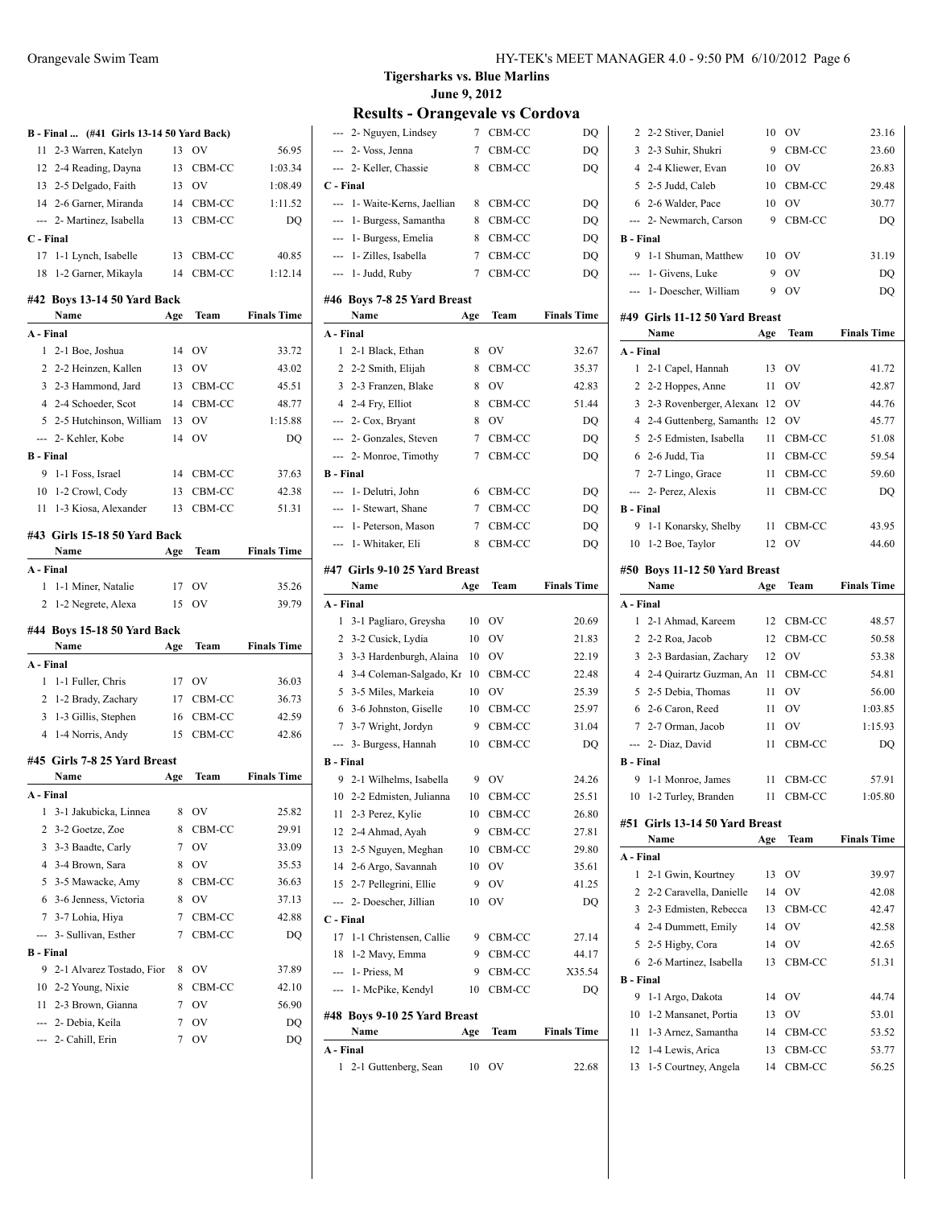|                  | B - Final  (#41 Girls 13-14 50 Yard Back) |        |           |                    |
|------------------|-------------------------------------------|--------|-----------|--------------------|
| 11               | 2-3 Warren, Katelyn                       | 13     | <b>OV</b> | 56.95              |
|                  | 12 2-4 Reading, Dayna                     | 13     | CBM-CC    | 1:03.34            |
|                  | 13 2-5 Delgado, Faith                     |        | 13 OV     | 1:08.49            |
|                  | 14 2-6 Garner, Miranda                    |        | 14 CBM-CC | 1:11.52            |
|                  | --- 2- Martinez, Isabella                 | 13     | CBM-CC    | DO                 |
| C - Final        |                                           |        |           |                    |
| 17               | 1-1 Lynch, Isabelle                       | 13     | CBM-CC    | 40.85              |
| 18               | 1-2 Garner, Mikayla                       | 14     | CBM-CC    | 1:12.14            |
|                  | #42 Boys 13-14 50 Yard Back               |        |           |                    |
|                  | Name                                      | Age    | Team      | <b>Finals Time</b> |
| A - Final        |                                           |        |           |                    |
| $\mathbf{1}$     | 2-1 Boe, Joshua                           | 14     | OV        | 33.72              |
|                  | 2 2-2 Heinzen, Kallen                     | 13     | <b>OV</b> | 43.02              |
|                  | 3 2-3 Hammond, Jard                       | 13     | CBM-CC    | 45.51              |
|                  | 4 2-4 Schoeder, Scot                      | 14     | CBM-CC    | 48.77              |
|                  | 5 2-5 Hutchinson, William                 | 13     | OV        | 1:15.88            |
| $-$              | 2- Kehler, Kobe                           | 14     | OV        | DO                 |
| <b>B</b> - Final |                                           |        |           |                    |
|                  | 9 1-1 Foss, Israel                        | 14     | CBM-CC    | 37.63              |
|                  | 10 1-2 Crowl, Cody                        |        | 13 CBM-CC | 42.38              |
|                  | 11 1-3 Kiosa, Alexander                   | 13     | CBM-CC    | 51.31              |
|                  |                                           |        |           |                    |
|                  | #43 Girls 15-18 50 Yard Back              |        |           |                    |
|                  | Name                                      | Age    | Team      | <b>Finals Time</b> |
| A - Final        |                                           |        |           |                    |
| 1                | 1-1 Miner, Natalie                        | 17     | OV        | 35.26              |
|                  | 2 1-2 Negrete, Alexa                      | 15     | OV        | 39.79              |
|                  | #44 Boys 15-18 50 Yard Back               |        |           |                    |
|                  |                                           |        |           |                    |
|                  | Name                                      | Age    | Team      | <b>Finals Time</b> |
| A - Final        |                                           |        |           |                    |
| 1                | 1-1 Fuller, Chris                         | 17     | <b>OV</b> | 36.03              |
|                  | 2 1-2 Brady, Zachary                      |        | 17 CBM-CC | 36.73              |
| 3                | 1-3 Gillis, Stephen                       | 16     | CBM-CC    | 42.59              |
|                  | 4 1-4 Norris, Andy                        | 15     | CBM-CC    | 42.86              |
|                  |                                           |        |           |                    |
|                  | #45 Girls 7-8 25 Yard Breast              |        |           |                    |
|                  | Name                                      | Age    | Team      | <b>Finals Time</b> |
| A - Final        |                                           |        |           |                    |
| 1                | 3-1 Jakubicka, Linnea                     | 8      | OV        | 25.82              |
| 2                | 3-2 Goetze, Zoe                           | 8      | CBM-CC    | 29.91              |
| 3                | 3-3 Baadte, Carly                         | 7      | OV        | 33.09              |
| $\overline{4}$   | 3-4 Brown, Sara                           | 8      | OV        | 35.53              |
| 5                | 3-5 Mawacke, Amy                          | 8      | CBM-CC    | 36.63              |
| 6                | 3-6 Jenness, Victoria                     | 8      | <b>OV</b> | 37.13              |
|                  | 7 3-7 Lohia, Hiya                         | 7      | CBM-CC    | 42.88              |
| ---              | 3- Sullivan, Esther                       | 7      | CBM-CC    | DQ                 |
| <b>B</b> - Final |                                           |        |           |                    |
| 9                | 2-1 Alvarez Tostado, Fior                 | 8      | OV        | 37.89              |
|                  | 10 2-2 Young, Nixie                       | 8      | CBM-CC    | 42.10              |
| 11               | 2-3 Brown, Gianna                         | 7      | OV        | 56.90              |
|                  | --- 2- Debia, Keila<br>2- Cahill, Erin    | 7<br>7 | OV<br>OV  | DQ<br>DQ           |

**Tigersharks vs. Blue Marlins June 9, 2012**

| 1<br>2-1 Guttenberg, Sean       | 10  | OV     | 22.68              |
|---------------------------------|-----|--------|--------------------|
| A - Final                       |     |        |                    |
| Name                            | Age | Team   | <b>Finals Time</b> |
| #48 Boys 9-10 25 Yard Breast    |     |        |                    |
| --- 1- McPike, Kendyl           | 10  | CBM-CC | DQ                 |
| $-$ 1 - Priess, M               | 9   | CBM-CC | X35.54             |
| 1-2 Mavy, Emma<br>18            | 9   | CBM-CC | 44.17              |
| 17<br>1-1 Christensen, Callie   | 9   | CBM-CC | 27.14              |
| C - Final                       |     |        |                    |
| 2- Doescher, Jillian<br>---     | 10  | OV     | DQ                 |
| 15 2-7 Pellegrini, Ellie        | 9   | OV     | 41.25              |
| 14 2-6 Argo, Savannah           | 10  | OV     | 35.61              |
| 2-5 Nguyen, Meghan<br>13        | 10  | CBM-CC | 29.80              |
| 12 2-4 Ahmad, Ayah              | 9   | CBM-CC | 27.81              |
| 11 2-3 Perez, Kylie             | 10  | CBM-CC | 26.80              |
| 10 2-2 Edmisten, Julianna       | 10  | CBM-CC | 25.51              |
| 9<br>2-1 Wilhelms, Isabella     | 9   | OV     | 24.26              |
| <b>B</b> - Final                |     |        |                    |
| --- 3- Burgess, Hannah          | 10  | CBM-CC | DQ                 |
| 7 3-7 Wright, Jordyn            | 9   | CBM-CC | 31.04              |
| 6 3-6 Johnston, Giselle         | 10  | CBM-CC | 25.97              |
| 5 3-5 Miles, Markeia            | 10  | OV     | 25.39              |
| 4 3-4 Coleman-Salgado, Kr       | 10  | CBM-CC | 22.48              |
| 3-3 Hardenburgh, Alaina<br>3    | 10  | OV     | 22.19              |
| 2 3-2 Cusick, Lydia             | 10  | OV     | 21.83              |
| 1<br>3-1 Pagliaro, Greysha      | 10  | OV     | 20.69              |
| A - Final                       |     |        |                    |
| Name                            | Age | Team   | <b>Finals Time</b> |
| #47 Girls 9-10 25 Yard Breast   |     |        |                    |
| 1- Whitaker, Eli<br>---         | 8   | CBM-CC | DQ                 |
| --- 1- Peterson, Mason          | 7   | CBM-CC | DQ                 |
| 1- Stewart, Shane<br>---        | 7   | CBM-CC | DQ                 |
| ---<br>1- Delutri, John         | 6   | CBM-CC | DQ                 |
| <b>B</b> - Final                |     |        |                    |
| --- 2- Monroe, Timothy          | 7   | CBM-CC | DQ                 |
| --- 2- Gonzales, Steven         | 7   | CBM-CC | DQ                 |
| --- 2- Cox, Bryant              | 8   | OV     | DQ                 |
| 4 2-4 Fry, Elliot               | 8   | CBM-CC | 51.44              |
| 3 2-3 Franzen, Blake            | 8   | OV     | 42.83              |
| 2 2-2 Smith, Elijah             | 8   | CBM-CC | 35.37              |
| 1<br>2-1 Black, Ethan           | 8   | OV     | 32.67              |
| A - Final                       |     |        |                    |
| Name                            | Age | Team   | <b>Finals Time</b> |
| #46 Boys 7-8 25 Yard Breast     |     |        |                    |
| --- 1- Judd, Ruby               | 7   | CBM-CC | DQ                 |
| --- 1- Zilles, Isabella         | 7   | CBM-CC | DQ                 |
| --- 1- Burgess, Emelia          | 8   | CBM-CC | DQ                 |
| --- 1- Burgess, Samantha        | 8   | CBM-CC | DQ                 |
| 1- Waite-Kerns, Jaellian<br>--- | 8   | CBM-CC | DQ                 |
| C - Final                       |     |        |                    |
| --- 2- Keller, Chassie          | 8   | CBM-CC | DQ                 |
| --- 2- Voss, Jenna              | 7   | CBM-CC | DQ                 |
| --- 2- Nguyen, Lindsey          | 7   | CBM-CC | DQ                 |
|                                 |     |        |                    |

|                | 2 2-2 Stiver, Daniel           | 10  | OV        | 23.16              |
|----------------|--------------------------------|-----|-----------|--------------------|
|                | 3 2-3 Suhir, Shukri            | 9   | CBM-CC    | 23.60              |
|                | 4 2-4 Kliewer, Evan            | 10  | <b>OV</b> | 26.83              |
|                | 5 2-5 Judd, Caleb              | 10  | CBM-CC    | 29.48              |
|                | 6 2-6 Walder, Pace             | 10  | OV        | 30.77              |
|                | --- 2- Newmarch, Carson        | 9   | CBM-CC    | DQ                 |
| B - Final      |                                |     |           |                    |
| 9              | 1-1 Shuman, Matthew            | 10  | OV        | 31.19              |
|                | --- 1- Givens, Luke            | 9   | OV        | DQ                 |
|                | --- 1- Doescher, William       | 9   | OV        | DQ                 |
|                |                                |     |           |                    |
|                | #49 Girls 11-12 50 Yard Breast |     |           |                    |
|                | Name                           | Age | Team      | <b>Finals Time</b> |
| A - Final      |                                |     |           |                    |
| 1              | 2-1 Capel, Hannah              | 13  | OV        | 41.72              |
|                | 2 2-2 Hoppes, Anne             | 11  | OV        | 42.87              |
|                | 3 2-3 Rovenberger, Alexand 12  |     | OV        | 44.76              |
|                | 4 2-4 Guttenberg, Samantha 12  |     | OV        | 45.77              |
|                | 5 2-5 Edmisten, Isabella       | 11  | CBM-CC    | 51.08              |
|                | 6 2-6 Judd, Tia                | 11  | CBM-CC    | 59.54              |
|                | 7 2-7 Lingo, Grace             | 11  | CBM-CC    | 59.60              |
|                | --- 2- Perez, Alexis           | 11  | CBM-CC    | DQ                 |
| B - Final      |                                |     |           |                    |
| 9              | 1-1 Konarsky, Shelby           | 11  | CBM-CC    | 43.95              |
| 10             | 1-2 Boe, Taylor                | 12  | OV        | 44.60              |
|                |                                |     |           |                    |
|                |                                |     |           |                    |
|                | #50  Boys 11-12 50 Yard Breast |     |           |                    |
|                | Name                           | Age | Team      | <b>Finals Time</b> |
| A - Final<br>1 |                                |     |           |                    |
|                | 2-1 Ahmad, Kareem              | 12  | CBM-CC    | 48.57              |
|                | 2 2-2 Roa, Jacob               | 12  | CBM-CC    | 50.58              |
|                | 3 2-3 Bardasian, Zachary       | 12  | OV        | 53.38              |
|                | 4 2-4 Quirartz Guzman, An      | -11 | CBM-CC    | 54.81              |
|                | 5 2-5 Debia, Thomas            | 11  | OV        | 56.00              |
|                | 6 2-6 Caron, Reed              | 11  | OV        | 1:03.85            |
|                | 7 2-7 Orman, Jacob             | 11  | <b>OV</b> | 1:15.93            |
|                | --- 2- Diaz, David             | 11  | CBM-CC    | DQ                 |
| B - Final      |                                |     |           |                    |
| 9              | 1-1 Monroe, James              | 11  | CBM-CC    | 57.91              |
|                | 10 1-2 Turley, Branden         |     | 11 CBM-CC | 1:05.80            |
|                | #51 Girls 13-14 50 Yard Breast |     |           |                    |
|                | Name                           | Age | Team      | <b>Finals Time</b> |
| A - Final      |                                |     |           |                    |
| 1              | 2-1 Gwin, Kourtney             | 13  | OV        | 39.97              |
| $\overline{2}$ | 2-2 Caravella, Danielle        | 14  | OV        | 42.08              |
|                | 3 2-3 Edmisten, Rebecca        | 13  | CBM-CC    | 42.47              |
|                | 4 2-4 Dummett, Emily           | 14  | OV        | 42.58              |
|                | 5 2-5 Higby, Cora              | 14  | OV        | 42.65              |
|                | 6 2-6 Martinez, Isabella       | 13  | CBM-CC    | 51.31              |
| B - Final<br>9 |                                |     | OV        |                    |

| 10 1-2 Mansanet, Portia | 13 OV     | 53.01 |
|-------------------------|-----------|-------|
| 11 1-3 Arnez, Samantha  | 14 CBM-CC | 53.52 |
| 12 1-4 Lewis, Arica     | 13 CBM-CC | 53.77 |
| 13 1-5 Courtney, Angela | 14 CBM-CC | 56.25 |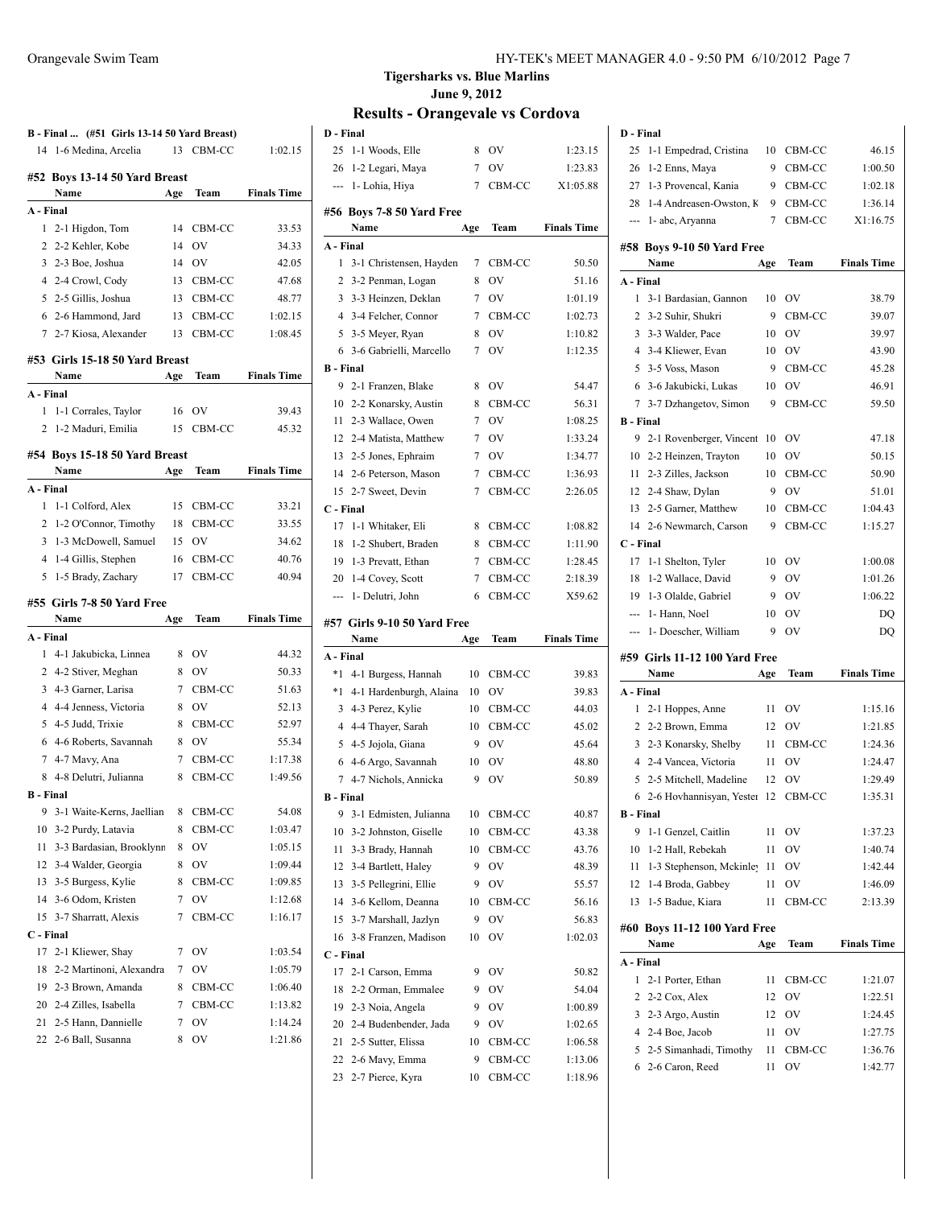|                  | B - Final  (#51 Girls 13-14 50 Yard Breast)    |        |              |                    |
|------------------|------------------------------------------------|--------|--------------|--------------------|
|                  | 14 1-6 Medina, Arcelia                         |        | 13 CBM-CC    | 1:02.15            |
|                  |                                                |        |              |                    |
|                  | #52 Boys 13-14 50 Yard Breast                  |        |              |                    |
|                  | Name                                           | Age    | Team         | <b>Finals Time</b> |
| A - Final        |                                                |        |              |                    |
| 1                | 2-1 Higdon, Tom                                | 14     | CBM-CC       | 33.53              |
| 2                | 2-2 Kehler, Kobe                               | 14     | OV           | 34.33              |
| 3                | 2-3 Boe, Joshua                                | 14     | <b>OV</b>    | 42.05              |
|                  | 4 2-4 Crowl, Cody                              | 13     | CBM-CC       | 47.68              |
| 5                | 2-5 Gillis, Joshua                             | 13     | CBM-CC       | 48.77              |
|                  | 6 2-6 Hammond, Jard                            | 13     | CBM-CC       | 1:02.15            |
|                  | 7 2-7 Kiosa, Alexander                         | 13     | CBM-CC       | 1:08.45            |
|                  | #53 Girls 15-18 50 Yard Breast                 |        |              |                    |
|                  | Name                                           | Age    | Team         | <b>Finals Time</b> |
| A - Final        |                                                |        |              |                    |
| 1                | 1-1 Corrales, Taylor                           | 16     | OV           | 39.43              |
| 2                | 1-2 Maduri, Emilia                             | 15     | CBM-CC       | 45.32              |
|                  |                                                |        |              |                    |
|                  | #54 Boys 15-18 50 Yard Breast<br>Name          | Age    | Team         | <b>Finals Time</b> |
| A - Final        |                                                |        |              |                    |
| 1                | 1-1 Colford, Alex                              | 15     | CBM-CC       | 33.21              |
| $\overline{2}$   | 1-2 O'Connor, Timothy                          | 18     | CBM-CC       | 33.55              |
| 3                | 1-3 McDowell, Samuel                           | 15     | <b>OV</b>    | 34.62              |
| 4                | 1-4 Gillis, Stephen                            | 16     | CBM-CC       | 40.76              |
| 5                | 1-5 Brady, Zachary                             | 17     | CBM-CC       | 40.94              |
|                  |                                                |        |              |                    |
|                  | #55 Girls 7-8 50 Yard Free                     |        |              |                    |
|                  |                                                |        |              |                    |
|                  | Name                                           | Age    | Team         | <b>Finals Time</b> |
| A - Final        |                                                |        |              |                    |
| 1                | 4-1 Jakubicka, Linnea                          | 8      | OV           | 44.32              |
|                  | 2 4-2 Stiver, Meghan                           | 8      | 0V           | 50.33              |
|                  | 3 4-3 Garner, Larisa                           | 7      | CBM-CC       | 51.63              |
|                  | 4 4-4 Jenness, Victoria                        | 8      | <b>OV</b>    | 52.13              |
|                  | 5 4-5 Judd, Trixie                             | 8      | CBM-CC       | 52.97              |
|                  | 6 4-6 Roberts, Savannah                        | 8      | OV           | 55.34              |
|                  | 7 4-7 Mavy, Ana                                | 7      | CBM-CC       | 1:17.38            |
|                  | 8 4-8 Delutri, Julianna                        | 8      | CBM-CC       | 1:49.56            |
| <b>B</b> - Final |                                                |        |              |                    |
| 9                | 3-1 Waite-Kerns, Jaellian                      | 8      | CBM-CC       | 54.08              |
| 10               | 3-2 Purdy, Latavia                             | 8      | CBM-CC       | 1:03.47            |
| 11               | 3-3 Bardasian, Brooklynn                       | 8      | OV           | 1:05.15            |
| 12               | 3-4 Walder, Georgia                            | 8      | OV           | 1:09.44            |
| 13               | 3-5 Burgess, Kylie                             | 8      | CBM-CC       | 1:09.85            |
| 14               | 3-6 Odom, Kristen                              | 7      | OV           | 1:12.68            |
| 15               | 3-7 Sharratt, Alexis                           | 7      | CBM-CC       | 1:16.17            |
| C - Final        |                                                |        |              |                    |
| 17               | 2-1 Kliewer, Shay                              | 7      | OV           | 1:03.54            |
| 18               | 2-2 Martinoni, Alexandra                       | 7      | OV           | 1:05.79            |
| 19               | 2-3 Brown, Amanda                              | 8      | CBM-CC       | 1:06.40            |
| 21               | 20 2-4 Zilles, Isabella<br>2-5 Hann, Dannielle | 7<br>7 | CBM-CC<br>OV | 1:13.82<br>1:14.24 |
| 22               | 2-6 Ball, Susanna                              | 8      | OV           | 1:21.86            |

**D - Final**

### **Tigersharks vs. Blue Marlins June 9, 2012**

| D - Final        |                                    |                 |                  |                    |
|------------------|------------------------------------|-----------------|------------------|--------------------|
| 25               | 1-1 Woods, Elle                    | 8               | OV               | 1:23.15            |
| 26               | 1-2 Legari, Maya                   | $7^{\circ}$     | OV               | 1:23.83            |
| ---              | 1- Lohia, Hiya                     | 7               | CBM-CC           | X1:05.88           |
|                  | #56 Boys 7-8 50 Yard Free          |                 |                  |                    |
|                  | Name                               | Age             | Team             | <b>Finals Time</b> |
| A - Final        |                                    |                 |                  |                    |
| 1                | 3-1 Christensen, Hayden            | 7               | CBM-CC           | 50.50              |
| 2                | 3-2 Penman, Logan                  | 8               | OV               | 51.16              |
| 3                | 3-3 Heinzen, Deklan                | $7\overline{ }$ | <b>OV</b>        | 1:01.19            |
| 4                | 3-4 Felcher, Connor                | 7               | CBM-CC           | 1:02.73            |
|                  | 5 3-5 Meyer, Ryan                  | 8               | OV               | 1:10.82            |
| 6                | 3-6 Gabrielli, Marcello            | 7               | <b>OV</b>        | 1:12.35            |
| <b>B</b> - Final |                                    |                 |                  |                    |
| 9                | 2-1 Franzen, Blake                 | 8               | <b>OV</b>        | 54.47              |
|                  | 10 2-2 Konarsky, Austin            | 8               | CBM-CC           | 56.31              |
|                  | 11 2-3 Wallace, Owen               | 7               | <b>OV</b>        | 1:08.25            |
|                  | 12 2-4 Matista, Matthew            | 7               | <b>OV</b>        | 1:33.24            |
|                  | 13 2-5 Jones, Ephraim              | 7               | OV               | 1:34.77            |
|                  | 14 2-6 Peterson, Mason             | $7^{\circ}$     | CBM-CC           | 1:36.93            |
| 15               | 2-7 Sweet, Devin                   | 7               | CBM-CC           | 2:26.05            |
| C - Final        |                                    |                 |                  |                    |
| 17               | 1-1 Whitaker, Eli                  | 8               | CBM-CC           | 1:08.82            |
| 18               | 1-2 Shubert, Braden                | 8               | CBM-CC           | 1:11.90            |
|                  | 19 1-3 Prevatt, Ethan              | 7               | CBM-CC           | 1:28.45            |
| 20               | 1-4 Covey, Scott                   | 7               | CBM-CC           | 2:18.39            |
| ---              | 1- Delutri, John                   | 6               | CBM-CC           | X59.62             |
|                  |                                    |                 |                  |                    |
|                  |                                    |                 |                  |                    |
|                  | #57 Girls 9-10 50 Yard Free        |                 |                  |                    |
|                  | Name                               | Age             | Team             | <b>Finals Time</b> |
| A - Final        |                                    |                 |                  |                    |
| $*1$             | 4-1 Burgess, Hannah                | 10              | CBM-CC           | 39.83              |
| $*1$             | 4-1 Hardenburgh, Alaina            | 10              | OV               | 39.83              |
|                  | 3 4-3 Perez, Kylie                 | 10              | CBM-CC           | 44.03              |
|                  | 4 4-4 Thayer, Sarah                | 10              | CBM-CC           | 45.02              |
|                  | 5 4-5 Jojola, Giana                | 9               | OV               | 45.64              |
|                  | 6 4-6 Argo, Savannah               | 10              | OV               | 48.80              |
| 7                | 4-7 Nichols, Annicka               | 9               | OV               | 50.89              |
| <b>B</b> - Final |                                    |                 |                  |                    |
| 9                | 3-1 Edmisten, Julianna             | 10              | CBM-CC           | 40.87              |
| 10               | 3-2 Johnston, Giselle              | 10              | CBM-CC           | 43.38              |
| 11               | 3-3 Brady, Hannah                  | 10              | CBM-CC           | 43.76              |
| 12               | 3-4 Bartlett, Haley                | 9               | OV               | 48.39              |
| 13               | 3-5 Pellegrini, Ellie              | 9               | OV               | 55.57              |
| 14               | 3-6 Kellom, Deanna                 | 10              | CBM-CC           | 56.16              |
| 15               | 3-7 Marshall, Jazlyn               | 9               | OV               | 56.83              |
| 16               | 3-8 Franzen, Madison               | 10              | OV               | 1:02.03            |
| C - Final        |                                    |                 |                  |                    |
| 17               | 2-1 Carson, Emma                   | 9               | OV               | 50.82              |
| 18               | 2-2 Orman, Emmalee                 | 9               | OV               | 54.04              |
| 19               | 2-3 Noia, Angela                   | 9               | OV               | 1:00.89            |
| 20               | 2-4 Budenbender, Jada              | 9               | OV               | 1:02.65            |
| 21               | 2-5 Sutter, Elissa                 | 10              | CBM-CC           | 1:06.58            |
| 22<br>23         | 2-6 Mavy, Emma<br>2-7 Pierce, Kyra | 9<br>10         | CBM-CC<br>CBM-CC | 1:13.06<br>1:18.96 |

| 25                    | 1-1 Empedrad, Cristina                     | 10      | CBM-CC         | 46.15              |
|-----------------------|--------------------------------------------|---------|----------------|--------------------|
| 26                    | 1-2 Enns, Maya                             | 9       | CBM-CC         | 1:00.50            |
| 27                    | 1-3 Provencal, Kania                       | 9       | CBM-CC         | 1:02.18            |
| 28                    | 1-4 Andreasen-Owston, K                    | 9       | CBM-CC         | 1:36.14            |
| ---                   | 1- abc, Arvanna                            | 7       | CBM-CC         | X1:16.75           |
|                       |                                            |         |                |                    |
|                       | #58 Boys 9-10 50 Yard Free                 |         |                |                    |
|                       | Name                                       | Age     | Team           | <b>Finals Time</b> |
| A - Final<br>1        |                                            |         | OV             |                    |
| 2                     | 3-1 Bardasian, Gannon<br>3-2 Suhir, Shukri | 10<br>9 | CBM-CC         | 38.79              |
|                       |                                            | 10      | OV             | 39.07              |
|                       | 3 3-3 Walder, Pace<br>4 3-4 Kliewer, Evan  | 10      | OV             | 39.97<br>43.90     |
| 5.                    | 3-5 Voss, Mason                            | 9       | CBM-CC         | 45.28              |
| 6                     |                                            | 10      | OV             |                    |
|                       | 3-6 Jakubicki, Lukas                       |         |                | 46.91              |
| 7<br><b>B</b> - Final | 3-7 Dzhangetov, Simon                      | 9       | CBM-CC         | 59.50              |
| 9                     | 2-1 Rovenberger, Vincent                   | 10      | OV             | 47.18              |
| 10                    | 2-2 Heinzen, Trayton                       | 10      | OV             | 50.15              |
| 11                    | 2-3 Zilles, Jackson                        | 10      | CBM-CC         | 50.90              |
| 12                    | 2-4 Shaw, Dylan                            | 9       | OV             | 51.01              |
|                       |                                            |         | CBM-CC         |                    |
| 13                    | 2-5 Garner, Matthew                        | 10<br>9 |                | 1:04.43            |
|                       | 14 2-6 Newmarch, Carson                    |         | CBM-CC         | 1:15.27            |
| C - Final             |                                            |         |                |                    |
| 17<br>18              | 1-1 Shelton, Tyler                         | 10      | OV             | 1:00.08            |
|                       | 1-2 Wallace, David                         | 9       | OV             | 1:01.26            |
| 19                    | 1-3 Olalde, Gabriel                        | 9       | OV             | 1:06.22            |
| ---                   | 1- Hann, Noel                              | 10      | OV             | DO                 |
|                       |                                            |         |                |                    |
| $\overline{a}$        | 1- Doescher, William                       | 9       | OV             | DQ                 |
|                       | #59 Girls 11-12 100 Yard Free              |         |                |                    |
|                       | Name                                       | Age     | Team           | <b>Finals Time</b> |
| A - Final             |                                            |         |                |                    |
| 1                     | 2-1 Hoppes, Anne                           | 11      | ov             | 1:15.16            |
|                       | 2 2-2 Brown, Emma                          | 12      | OV             | 1:21.85            |
|                       | 3 2-3 Konarsky, Shelby                     | 11      | CBM-CC         | 1:24.36            |
|                       | 4 2-4 Vancea, Victoria                     | 11      | <b>OV</b>      | 1:24.47            |
| 5                     | 2-5 Mitchell, Madeline                     | 12      | O <sub>V</sub> | 1:29.49            |
| 6                     | 2-6 Hovhannisyan, Yester                   | 12      | CBM-CC         | 1:35.31            |
| <b>B</b> - Final      |                                            |         |                |                    |
| 9                     | 1-1 Genzel, Caitlin                        | 11      | OV             | 1:37.23            |
| 10                    | 1-2 Hall, Rebekah                          | 11      | OV             | 1:40.74            |
| 11                    | 1-3 Stephenson, Mckinley                   | 11      | OV             | 1:42.44            |
| 12                    | 1-4 Broda, Gabbey                          | 11      | OV             | 1:46.09            |
| 13                    | 1-5 Badue, Kiara                           | 11      | CBM-CC         | 2:13.39            |
|                       |                                            |         |                |                    |
|                       | #60 Boys 11-12 100 Yard Free<br>Name       | Age     | Team           | <b>Finals Time</b> |
| A - Final             |                                            |         |                |                    |
| 1                     | 2-1 Porter, Ethan                          | 11      | CBM-CC         | 1:21.07            |
| 2                     | 2-2 Cox, Alex                              | 12      | OV             | 1:22.51            |
| 3                     | 2-3 Argo, Austin                           | 12      | OV             | 1:24.45            |
| 4                     | 2-4 Boe, Jacob                             | 11      | OV             | 1:27.75            |
| 5                     | 2-5 Simanhadi, Timothy                     | 11      | CBM-CC         | 1:36.76            |
| 6                     | 2-6 Caron, Reed                            | 11      | ov             | 1:42.77            |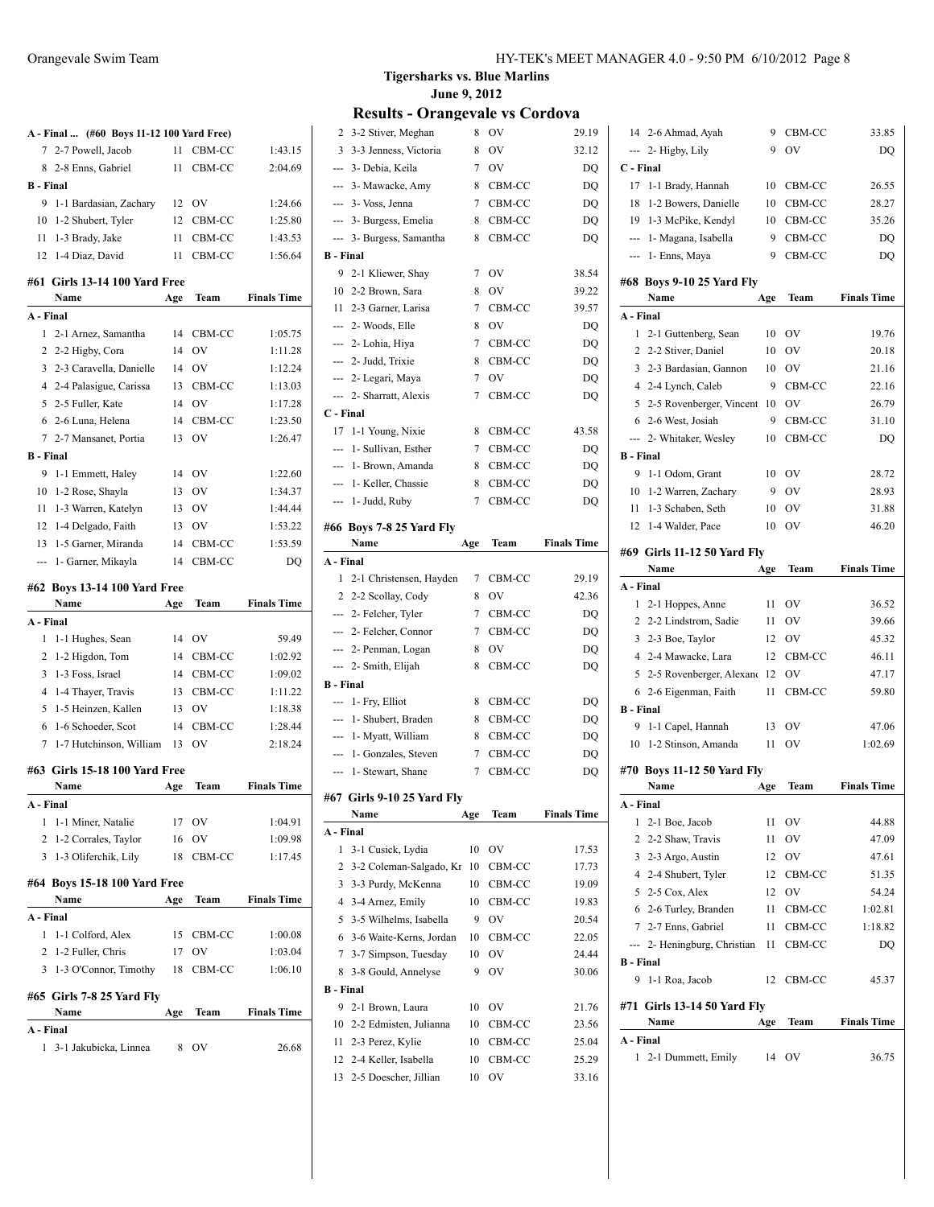|                  | A - Final  (#60 Boys 11-12 100 Yard Free) |     |                |                    |
|------------------|-------------------------------------------|-----|----------------|--------------------|
| 7                | 2-7 Powell, Jacob                         | 11  | CBM-CC         | 1:43.15            |
| 8                | 2-8 Enns, Gabriel                         | 11  | CBM-CC         | 2:04.69            |
| <b>B</b> - Final |                                           |     |                |                    |
| 9                | 1-1 Bardasian, Zachary                    | 12  | <b>OV</b>      | 1:24.66            |
| 10               | 1-2 Shubert, Tyler                        | 12  | CBM-CC         | 1:25.80            |
| 11               | 1-3 Brady, Jake                           | 11  | CBM-CC         | 1:43.53            |
| 12               | 1-4 Diaz, David                           | 11  | CBM-CC         | 1:56.64            |
|                  | #61 Girls 13-14 100 Yard Free             |     |                |                    |
|                  | Name                                      | Age | Team           | <b>Finals Time</b> |
| A - Final        |                                           |     |                |                    |
| 1                | 2-1 Arnez, Samantha                       | 14  | CBM-CC         | 1:05.75            |
| 2                | 2-2 Higby, Cora                           | 14  | OV             | 1:11.28            |
| 3                | 2-3 Caravella, Danielle                   | 14  | <b>OV</b>      | 1:12.24            |
| $\overline{4}$   | 2-4 Palasigue, Carissa                    | 13  | CBM-CC         | 1:13.03            |
| 5                | 2-5 Fuller, Kate                          | 14  | <b>OV</b>      | 1:17.28            |
| 6                | 2-6 Luna, Helena                          | 14  | CBM-CC         | 1:23.50            |
| 7                | 2-7 Mansanet, Portia                      | 13  | OV             | 1:26.47            |
| <b>B</b> - Final |                                           |     |                |                    |
| 9                | 1-1 Emmett, Haley                         | 14  | <b>OV</b>      | 1:22.60            |
| 10               | 1-2 Rose, Shayla                          | 13  | <b>OV</b>      | 1:34.37            |
| 11               | 1-3 Warren, Katelyn                       | 13  | <b>OV</b>      | 1:44.44            |
| 12               | 1-4 Delgado, Faith                        | 13  | <b>OV</b>      | 1:53.22            |
| 13               | 1-5 Garner, Miranda                       | 14  | CBM-CC         | 1:53.59            |
|                  |                                           |     |                |                    |
| ---              | 1- Garner, Mikayla                        | 14  | CBM-CC         | DO                 |
|                  | #62 Boys 13-14 100 Yard Free              |     |                |                    |
|                  |                                           |     |                |                    |
|                  | Name                                      | Age | Team           | <b>Finals Time</b> |
| A - Final        |                                           |     |                |                    |
| 1                | 1-1 Hughes, Sean                          | 14  | OV             | 59.49              |
| 2                | 1-2 Higdon, Tom                           | 14  | CBM-CC         | 1:02.92            |
| 3                | 1-3 Foss, Israel                          | 14  | CBM-CC         | 1:09.02            |
| 4                | 1-4 Thayer, Travis                        | 13  | CBM-CC         | 1:11.22            |
| 5                | 1-5 Heinzen, Kallen                       | 13  | <b>OV</b>      | 1:18.38            |
| 6                | 1-6 Schoeder, Scot                        | 14  | CBM-CC         | 1:28.44            |
| 7                | 1-7 Hutchinson, William                   | 13  | O <sub>V</sub> | 2:18.24            |
|                  |                                           |     |                |                    |
| #63              | <b>Girls 15-18 100 Yard Free</b>          |     |                |                    |
|                  | Name                                      | Age | Team           | <b>Finals Time</b> |
| A - Final        |                                           |     |                |                    |
| 1                | 1-1 Miner, Natalie                        |     | 17 OV          | 1:04.91            |
| $\mathbf{2}$     | 1-2 Corrales, Taylor                      |     | 16 OV          | 1:09.98            |
| 3                | 1-3 Oliferchik, Lily                      | 18  | CBM-CC         | 1:17.45            |
|                  | #64 Boys 15-18 100 Yard Free              |     |                |                    |
|                  | Name                                      | Age | Team           | <b>Finals Time</b> |
| A - Final        |                                           |     |                |                    |
| 1                | 1-1 Colford, Alex                         |     | 15 CBM-CC      | 1:00.08            |
|                  | 2 1-2 Fuller, Chris                       | 17  | <b>OV</b>      | 1:03.04            |
| $\overline{3}$   | 1-3 O'Connor, Timothy                     | 18  | CBM-CC         | 1:06.10            |
|                  |                                           |     |                |                    |
|                  | #65 Girls 7-8 25 Yard Fly                 |     |                |                    |
|                  | Name                                      | Age | Team           | <b>Finals Time</b> |
| A - Final        |                                           |     |                |                    |
|                  | 1 3-1 Jakubicka, Linnea                   | 8   | OV             | 26.68              |

**Tigersharks vs. Blue Marlins June 9, 2012**

| 2                | 3-2 Stiver, Meghan                              | 8   | ov               | 29.19              |
|------------------|-------------------------------------------------|-----|------------------|--------------------|
|                  | 3 3-3 Jenness, Victoria                         | 8   | OV               | 32.12              |
|                  | --- 3- Debia, Keila                             | 7   | OV               | DQ                 |
|                  | --- 3- Mawacke, Amy                             | 8   | CBM-CC           | DQ                 |
|                  | --- 3- Voss, Jenna                              | 7   | CBM-CC           | DQ                 |
| ---              | 3- Burgess, Emelia                              | 8   | CBM-CC           | DQ                 |
| $\overline{a}$   | 3- Burgess, Samantha                            | 8   | CBM-CC           | DQ                 |
| <b>B</b> - Final |                                                 |     |                  |                    |
|                  | 9 2-1 Kliewer, Shay                             | 7   | <b>OV</b>        | 38.54              |
|                  | 10 2-2 Brown, Sara                              | 8   | OV               | 39.22              |
|                  | 11 2-3 Garner, Larisa                           | 7   | CBM-CC           | 39.57              |
|                  | --- 2- Woods, Elle                              | 8   | OV               | DQ                 |
|                  | --- 2- Lohia, Hiya                              | 7   | CBM-CC           | DQ                 |
|                  | --- 2- Judd, Trixie                             | 8   | CBM-CC           | DQ                 |
|                  | --- 2- Legari, Maya                             | 7   | OV               | DQ                 |
|                  | --- 2- Sharratt, Alexis                         | 7   | CBM-CC           | DQ                 |
| C - Final        |                                                 |     |                  |                    |
| 17               | 1-1 Young, Nixie                                | 8   | CBM-CC           | 43.58              |
| ---              | 1- Sullivan, Esther                             | 7   | CBM-CC           | DQ                 |
|                  | --- 1- Brown, Amanda                            | 8   | CBM-CC           | DQ                 |
|                  | --- 1- Keller, Chassie                          | 8   | CBM-CC           | DQ                 |
|                  | --- 1- Judd, Ruby                               | 7   | CBM-CC           | DQ                 |
|                  |                                                 |     |                  |                    |
|                  | #66 Boys 7-8 25 Yard Fly                        |     |                  |                    |
|                  | Name                                            | Age | Team             | <b>Finals Time</b> |
| A - Final        |                                                 |     |                  |                    |
| 1                | 2-1 Christensen, Hayden                         | 7   | CBM-CC           | 29.19              |
|                  | 2 2-2 Scollay, Cody                             | 8   | OV               | 42.36              |
|                  |                                                 |     |                  |                    |
|                  | --- 2- Felcher, Tyler                           | 7   | CBM-CC           | DQ                 |
|                  | --- 2- Felcher, Connor                          | 7   | CBM-CC           | DQ                 |
|                  | --- 2- Penman, Logan                            | 8   | OV               | DQ                 |
| ---              | 2- Smith, Elijah                                | 8   | CBM-CC           | DQ                 |
| <b>B</b> - Final |                                                 |     |                  |                    |
|                  | --- 1- Fry, Elliot                              | 8   | CBM-CC           | DQ                 |
|                  | --- 1- Shubert, Braden                          | 8   | CBM-CC           | DQ                 |
|                  | --- 1- Myatt, William                           | 8   | CBM-CC           | DQ                 |
|                  | --- 1- Gonzales, Steven                         | 7   | CBM-CC           | DQ                 |
|                  | --- 1- Stewart, Shane                           | 7   | CBM-CC           | DQ                 |
|                  |                                                 |     |                  |                    |
|                  | #67 Girls 9-10 25 Yard Fly<br>Name              |     | Team             | <b>Finals Time</b> |
| A - Final        |                                                 | Age |                  |                    |
| 1                | 3-1 Cusick, Lydia                               | 10  | OV               | 17.53              |
| 2                | 3-2 Coleman-Salgado, Kr                         | 10  | CBM-CC           | 17.73              |
| 3                | 3-3 Purdy, McKenna                              | 10  | CBM-CC           | 19.09              |
| 4                | 3-4 Arnez, Emily                                | 10  | CBM-CC           | 19.83              |
| 5                | 3-5 Wilhelms, Isabella                          | 9   | OV               | 20.54              |
| 6                |                                                 | 10  |                  | 22.05              |
| 7                | 3-6 Waite-Kerns, Jordan<br>3-7 Simpson, Tuesday | 10  | CBM-CC<br>OV     | 24.44              |
| 8                | 3-8 Gould, Annelyse                             | 9   | OV               | 30.06              |
| <b>B</b> - Final |                                                 |     |                  |                    |
| 9                |                                                 | 10  | OV               |                    |
| 10               | 2-1 Brown, Laura                                | 10  |                  | 21.76              |
|                  | 2-2 Edmisten, Julianna                          | 10  | CBM-CC           | 23.56              |
| 11               | 2-3 Perez, Kylie                                | 10  | CBM-CC<br>CBM-CC | 25.04              |
| 12<br>13         | 2-4 Keller, Isabella<br>2-5 Doescher, Jillian   | 10  | OV               | 25.29<br>33.16     |

|                          | 14 2-6 Ahmad, Ayah                         | 9   | CBM-CC | 33.85              |
|--------------------------|--------------------------------------------|-----|--------|--------------------|
|                          | --- 2- Higby, Lily                         | 9   | OV     | DQ                 |
| C - Final                |                                            |     |        |                    |
| 17                       | 1-1 Brady, Hannah                          | 10  | CBM-CC | 26.55              |
| 18                       | 1-2 Bowers, Danielle                       | 10  | CBM-CC | 28.27              |
| 19                       | 1-3 McPike, Kendyl                         | 10  | CBM-CC | 35.26              |
| ---                      | 1- Magana, Isabella                        | 9   | CBM-CC | DQ                 |
|                          | --- 1- Enns, Maya                          | 9   | CBM-CC | DQ                 |
|                          |                                            |     |        |                    |
|                          | #68 Boys 9-10 25 Yard Fly<br>Name          |     | Team   | <b>Finals Time</b> |
| A - Final                |                                            | Age |        |                    |
| 1                        |                                            | 10  | OV     | 19.76              |
| 2                        | 2-1 Guttenberg, Sean<br>2-2 Stiver, Daniel | 10  | OV     | 20.18              |
| $\overline{3}$           | 2-3 Bardasian, Gannon                      | 10  | OV     | 21.16              |
|                          |                                            |     |        |                    |
|                          | 4 2-4 Lynch, Caleb                         | 9   | CBM-CC | 22.16              |
| 5                        | 2-5 Rovenberger, Vincent                   | 10  | OV     | 26.79              |
|                          | 6 2-6 West, Josiah                         | 9   | CBM-CC | 31.10              |
| $\overline{\phantom{a}}$ | 2- Whitaker, Wesley                        | 10  | CBM-CC | DQ                 |
| <b>B</b> - Final         |                                            |     |        |                    |
| 9                        | 1-1 Odom, Grant                            | 10  | OV     | 28.72              |
|                          | 10 1-2 Warren, Zachary                     | -9  | OV     | 28.93              |
|                          | 11 1-3 Schaben, Seth                       | 10  | OV     | 31.88              |
|                          | 12 1-4 Walder, Pace                        | 10  | OV     | 46.20              |
|                          | #69 Girls 11-12 50 Yard Fly                |     |        |                    |
|                          | Name                                       | Age | Team   | <b>Finals Time</b> |
| A - Final                |                                            |     |        |                    |
| $\mathbf{1}$             | 2-1 Hoppes, Anne                           | 11  | OV     | 36.52              |
|                          | 2 2-2 Lindstrom, Sadie                     | 11  | OV     | 39.66              |
|                          | 3 2-3 Boe, Taylor                          | 12  | OV     | 45.32              |
|                          | 4 2-4 Mawacke, Lara                        | 12  | CBM-CC | 46.11              |
|                          | 5 2-5 Rovenberger, Alexand 12              |     | OV     | 47.17              |
| 6                        | 2-6 Eigenman, Faith                        | 11  | CBM-CC | 59.80              |
| <b>B</b> - Final         |                                            |     |        |                    |
| 9                        | 1-1 Capel, Hannah                          | 13  | OV     | 47.06              |
| 10                       | 1-2 Stinson, Amanda                        | 11  | OV     | 1:02.69            |
|                          |                                            |     |        |                    |
|                          | #70 Boys 11-12 50 Yard Fly                 |     |        | <b>Finals Time</b> |
|                          | Name                                       | Age | Team   |                    |
| A - Final                |                                            |     |        |                    |
| 1                        | 2-1 Boe, Jacob                             | 11  | OV     | 44.88              |
|                          | 2 2-2 Shaw, Travis                         | 11  | OV     | 47.09              |
|                          | 3 2-3 Argo, Austin                         | 12  | OV     | 47.61              |
|                          | 4 2-4 Shubert, Tyler                       | 12  | CBM-CC | 51.35              |
| 5                        | 2-5 Cox, Alex                              | 12  | OV     | 54.24              |
| 6                        | 2-6 Turley, Branden                        | 11  | CBM-CC | 1:02.81            |
|                          | 7 2-7 Enns, Gabriel                        | 11  | CBM-CC | 1:18.82            |
| ⊷.                       | 2- Heningburg, Christian                   | 11  | CBM-CC | DQ                 |
|                          | <b>B</b> - Final                           |     |        |                    |
|                          | 1-1 Roa, Jacob                             | 12  | CBM-CC | 45.37              |
| 9                        |                                            |     |        |                    |
|                          | #71 Girls 13-14 50 Yard Fly                |     |        |                    |
|                          | Name                                       | Age | Team   | <b>Finals Time</b> |
| A - Final                |                                            |     |        |                    |
|                          | 1 2-1 Dummett, Emily                       | 14  | OV     | 36.75              |
|                          |                                            |     |        |                    |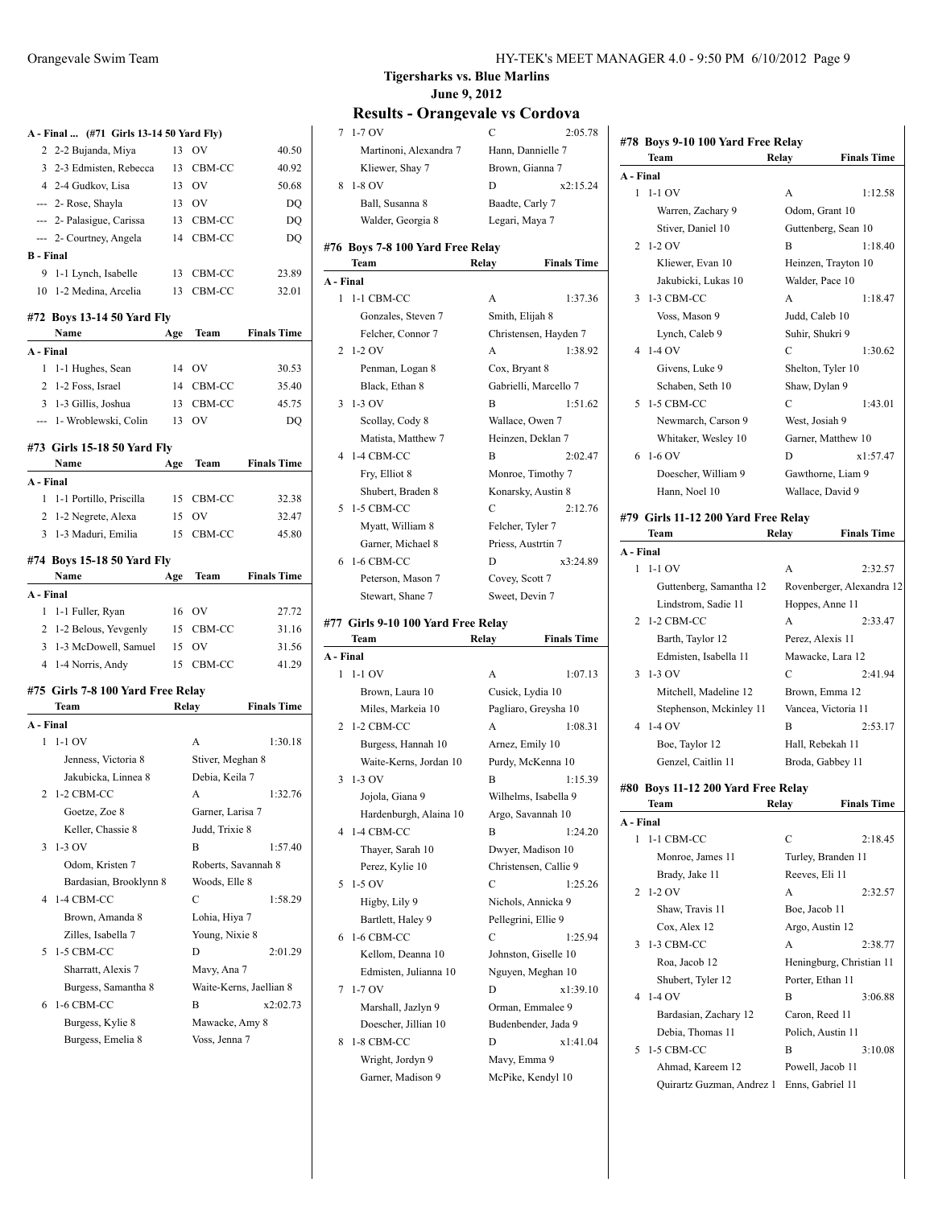|                  | A - Final  (#71 Girls 13-14 50 Yard Fly) |     |                     |                    |
|------------------|------------------------------------------|-----|---------------------|--------------------|
|                  | 2 2-2 Bujanda, Miya                      | 13  | OV                  | 40.50              |
|                  | 3 2-3 Edmisten, Rebecca                  | 13  | CBM-CC              | 40.92              |
|                  | 4 2-4 Gudkov, Lisa                       |     | 13 OV               | 50.68              |
|                  | --- 2- Rose, Shayla                      |     | 13 OV               | DQ                 |
|                  | --- 2- Palasigue, Carissa                |     | 13 CBM-CC           | DQ                 |
|                  | --- 2- Courtney, Angela                  |     | 14 CBM-CC           | DQ                 |
| <b>B</b> - Final |                                          |     |                     |                    |
| 9                | 1-1 Lynch, Isabelle                      |     | 13 CBM-CC           | 23.89              |
|                  | 10 1-2 Medina, Arcelia                   |     | 13 CBM-CC           | 32.01              |
|                  | #72 Boys 13-14 50 Yard Fly               |     |                     |                    |
|                  | Name                                     | Age | Team                | <b>Finals Time</b> |
| A - Final        |                                          |     |                     |                    |
| 1                | 1-1 Hughes, Sean                         | 14  | OV                  | 30.53              |
|                  | 2 1-2 Foss, Israel                       | 14  | CBM-CC              | 35.40              |
|                  | 3 1-3 Gillis, Joshua                     |     | 13 CBM-CC           | 45.75              |
|                  | --- 1- Wroblewski, Colin                 |     | 13 OV               | DQ                 |
|                  |                                          |     |                     |                    |
|                  | #73 Girls 15-18 50 Yard Fly<br>Name      | Age | Team                | <b>Finals Time</b> |
| A - Final        |                                          |     |                     |                    |
| 1                | 1-1 Portillo, Priscilla                  |     | 15 CBM-CC           | 32.38              |
|                  | 2 1-2 Negrete, Alexa                     |     | 15 OV               | 32.47              |
| $\overline{3}$   | 1-3 Maduri, Emilia                       | 15  | CBM-CC              | 45.80              |
|                  |                                          |     |                     |                    |
|                  | #74 Boys 15-18 50 Yard Fly               |     |                     |                    |
|                  | Name                                     | Age | Team                | <b>Finals Time</b> |
| A - Final        |                                          |     |                     |                    |
| 1                | 1-1 Fuller, Ryan                         |     | 16 OV               | 27.72              |
|                  | 2 1-2 Belous, Yevgenly                   |     | 15 CBM-CC           | 31.16              |
|                  | 3 1-3 McDowell, Samuel                   |     | 15 OV               | 31.56              |
|                  | 4 1-4 Norris, Andy                       | 15  | CBM-CC              | 41.29              |
|                  | #75 Girls 7-8 100 Yard Free Relay        |     |                     |                    |
|                  | Team                                     |     | Relay               | <b>Finals Time</b> |
| A - Final        |                                          |     |                     |                    |
| 1                | $1-1$ OV                                 |     | A                   | 1:30.18            |
|                  | Jenness, Victoria 8                      |     | Stiver, Meghan 8    |                    |
|                  | Jakubicka, Linnea 8                      |     | Debia, Keila 7      |                    |
| 2                | 1-2 CBM-CC                               |     | A                   | 1:32.76            |
|                  | Goetze, Zoe 8                            |     | Garner, Larisa 7    |                    |
|                  | Keller, Chassie 8                        |     | Judd, Trixie 8      |                    |
| 3                | 1-3 OV                                   |     | B                   | 1:57.40            |
|                  | Odom, Kristen 7                          |     | Roberts, Savannah 8 |                    |
|                  | Bardasian, Brooklynn 8                   |     | Woods, Elle 8       |                    |
| 4                | 1-4 CBM-CC                               |     | C                   | 1:58.29            |
|                  | Brown, Amanda 8                          |     | Lohia, Hiya 7       |                    |
|                  |                                          |     |                     |                    |

|     |           |                         | теянн                    |
|-----|-----------|-------------------------|--------------------------|
|     | 13 CBM-CC | 23.89                   | A - Final                |
|     | 13 CBM-CC | 32.01                   | $1-1$ CB<br>$\mathbf{1}$ |
| Īy  |           |                         | Gonz                     |
| Age | Team      | <b>Finals Time</b>      | Felch                    |
|     |           |                         | $2\;1-2\;0V$             |
|     | 14 OV     | 30.53                   | Penn                     |
|     | 14 CBM-CC | 35.40                   | Black                    |
|     | 13 CBM-CC | 45.75                   | $3 \t1-3$ OV             |
|     | 13 OV     | <b>DO</b>               | Scoll                    |
|     |           |                         | <b>Matis</b>             |
| Fly |           |                         | 4 1-4 CB                 |
| Age |           | <b>Team</b> Finals Time |                          |
|     |           |                         | Fry, I                   |
|     |           |                         | Shub                     |
|     | 15 CBM-CC | 32.38                   | 5 1-5 CB                 |
|     | 15 OV     | 32.47                   | $\mathbf{v}$             |

|           | Name                   | Age | Team      | <b>Finals Time</b> |
|-----------|------------------------|-----|-----------|--------------------|
| A - Final |                        |     |           |                    |
|           | 1 1-1 Fuller, Ryan     |     | 16 OV     | 27.72              |
|           | 2 1-2 Belous, Yevgenly |     | 15 CBM-CC | 31.16              |
|           | 3 1-3 McDowell, Samuel |     | 15 OV     | 31.56              |
|           | 4 1-4 Norris, Andy     |     | 15 CBM-CC | 41.29              |

|        | теят                   | кенгу               | rinais lime             |
|--------|------------------------|---------------------|-------------------------|
|        | - Final                |                     |                         |
| 1      | $1-1$ OV               | A                   | 1:30.18                 |
|        | Jenness, Victoria 8    | Stiver, Meghan 8    |                         |
|        | Jakubicka, Linnea 8    | Debia, Keila 7      |                         |
|        | 2 1-2 CBM-CC           | A                   | 1:32.76                 |
|        | Goetze, Zoe 8          | Garner, Larisa 7    |                         |
|        | Keller, Chassie 8      | Judd, Trixie 8      |                         |
|        | $3 - 1 - 3$ OV         | R                   | 1:57.40                 |
|        | Odom, Kristen 7        | Roberts, Savannah 8 |                         |
|        | Bardasian, Brooklynn 8 | Woods, Elle 8       |                         |
|        | 4 1-4 CBM-CC           | C                   | 1:58.29                 |
|        | Brown, Amanda 8        | Lohia, Hiya 7       |                         |
|        | Zilles, Isabella 7     | Young, Nixie 8      |                         |
| $\sim$ | 1-5 CBM-CC             | D                   | 2:01.29                 |
|        | Sharratt, Alexis 7     | Mavy, Ana 7         |                         |
|        | Burgess, Samantha 8    |                     | Waite-Kerns, Jaellian 8 |
| 6      | 1-6 CBM-CC             | B                   | x2:02.73                |
|        | Burgess, Kylie 8       | Mawacke, Amy 8      |                         |
|        | Burgess, Emelia 8      | Voss, Jenna 7       |                         |

### **Tigersharks vs. Blue Marlins June 9, 2012**

|           | ,,,,,<br>$\mathbf{v}$ . and $\mathbf{v}$ and | $\sim$ , $\sim$ $\sim$ $\sim$ $\sim$ $\sim$ |
|-----------|----------------------------------------------|---------------------------------------------|
|           | $71-70V$                                     | C<br>2:05.78                                |
|           | Martinoni, Alexandra 7                       | Hann, Dannielle 7                           |
|           | Kliewer, Shay 7                              | Brown, Gianna 7                             |
|           | 8 1-8 OV                                     | x2:15.24<br>D                               |
|           | Ball, Susanna 8                              | Baadte, Carly 7                             |
|           | Walder, Georgia 8                            | Legari, Maya 7                              |
|           |                                              |                                             |
|           | #76  Boys 7-8 100 Yard Free Relay            |                                             |
|           | Team                                         | Relay<br><b>Finals Time</b>                 |
| A - Final |                                              |                                             |
|           | 1 1-1 CBM-CC                                 | A<br>1:37.36                                |
|           | Gonzales, Steven 7                           | Smith, Elijah 8                             |
|           | Felcher, Connor 7                            | Christensen, Hayden 7                       |
|           | 2 1-2 OV                                     | A<br>1:38.92                                |
|           | Penman, Logan 8                              | Cox, Bryant 8                               |
|           | Black, Ethan 8                               | Gabrielli, Marcello 7                       |
|           | $3 - 1 - 3$ OV                               | В<br>1:51.62                                |
|           | Scollay, Cody 8                              | Wallace, Owen 7                             |
|           | Matista, Matthew 7                           | Heinzen, Deklan 7                           |
| 4         | 1-4 CBM-CC                                   | В<br>2:02.47                                |
|           | Fry, Elliot 8                                | Monroe, Timothy 7                           |
|           | Shubert, Braden 8                            | Konarsky, Austin 8                          |
| 5         | 1-5 CBM-CC                                   | C<br>2:12.76                                |
|           | Myatt, William 8                             | Felcher, Tyler 7                            |
|           | Garner, Michael 8                            | Priess, Austrtin 7                          |
| 6         | 1-6 CBM-CC                                   | x3:24.89<br>D                               |
|           | Peterson, Mason 7                            | Covey, Scott 7                              |
|           | Stewart, Shane 7                             | Sweet, Devin 7                              |
|           | #77 Girls 9-10 100 Yard Free Relay           |                                             |
|           | Team                                         | <b>Finals Time</b><br>Relay                 |
| A - Final |                                              |                                             |
|           | $1 - 1 - 1$ OV                               | 1:07.13<br>A                                |
|           | Brown, Laura 10                              | Cusick, Lydia 10                            |
|           | Miles, Markeia 10                            | Pagliaro, Greysha 10                        |
|           | 2 1-2 CBM-CC                                 | 1:08.31<br>A                                |
|           | Burgess, Hannah 10                           | Arnez, Emily 10                             |
|           | Waite-Kerns, Jordan 10                       | Purdy, McKenna 10                           |
| 3         | $1-3$ OV                                     | 1:15.39<br>В                                |
|           | Jojola, Giana 9                              | Wilhelms, Isabella 9                        |
|           | Hardenburgh, Alaina 10                       | Argo, Savannah 10                           |
| 4         | 1-4 CBM-CC                                   | В<br>1:24.20                                |
|           | Thayer, Sarah 10                             | Dwyer, Madison 10                           |
|           |                                              | Christensen, Callie 9                       |
| 5         |                                              |                                             |
|           | Perez, Kylie 10                              |                                             |
|           | 1-5 OV                                       | C<br>1:25.26                                |
|           | Higby, Lily 9                                | Nichols, Annicka 9                          |
|           | Bartlett, Haley 9                            | Pellegrini, Ellie 9                         |
| 6         | 1-6 CBM-CC                                   | C<br>1:25.94                                |
|           | Kellom, Deanna 10                            | Johnston, Giselle 10                        |
|           | Edmisten, Julianna 10                        | Nguyen, Meghan 10                           |
| 7         | $1-7$ OV                                     | D<br>x1:39.10                               |
|           | Marshall, Jazlyn 9                           | Orman, Emmalee 9                            |
|           | Doescher, Jillian 10                         | Budenbender, Jada 9                         |
| 8         | 1-8 CBM-CC                                   | D<br>x1:41.04                               |
|           | Wright, Jordyn 9<br>Garner, Madison 9        | Mavy, Emma 9<br>McPike, Kendyl 10           |

|                | #78 Boys 9-10 100 Yard Free Relay           |                     |                           |
|----------------|---------------------------------------------|---------------------|---------------------------|
|                | Team                                        | Relay               | <b>Finals Time</b>        |
| A - Final      |                                             |                     |                           |
| 1              | $1-1$ OV                                    | А                   | 1:12.58                   |
|                | Warren, Zachary 9                           | Odom, Grant 10      |                           |
|                | Stiver, Daniel 10                           |                     | Guttenberg, Sean 10       |
| 2              | $1-2$ OV                                    | B                   | 1:18.40                   |
|                | Kliewer, Evan 10                            |                     | Heinzen, Trayton 10       |
|                | Jakubicki, Lukas 10                         | Walder, Pace 10     |                           |
| 3              | 1-3 CBM-CC                                  | A                   | 1:18.47                   |
|                | Voss, Mason 9                               | Judd, Caleb 10      |                           |
|                | Lynch, Caleb 9                              | Suhir, Shukri 9     |                           |
| 4              | $1-4$ OV                                    | $\overline{C}$      | 1:30.62                   |
|                | Givens, Luke 9                              | Shelton, Tyler 10   |                           |
|                | Schaben, Seth 10                            | Shaw, Dylan 9       |                           |
| 5              | 1-5 CBM-CC                                  | C                   | 1:43.01                   |
|                | Newmarch, Carson 9                          | West, Josiah 9      |                           |
|                | Whitaker, Wesley 10                         | Garner, Matthew 10  |                           |
| 6              | $1-6$ OV                                    | D                   | x1:57.47                  |
|                | Doescher, William 9                         | Gawthorne, Liam 9   |                           |
|                | Hann, Noel 10                               | Wallace, David 9    |                           |
|                |                                             |                     |                           |
|                | #79 Girls 11-12 200 Yard Free Relav<br>Team | Relay               | <b>Finals Time</b>        |
| A - Final      |                                             |                     |                           |
| 1              | 1-1 OV                                      | A                   | 2:32.57                   |
|                | Guttenberg, Samantha 12                     |                     | Rovenberger, Alexandra 12 |
|                | Lindstrom, Sadie 11                         | Hoppes, Anne 11     |                           |
| $\overline{c}$ | 1-2 CBM-CC                                  | A                   | 2:33.47                   |
|                | Barth, Taylor 12                            | Perez, Alexis 11    |                           |
|                | Edmisten, Isabella 11                       | Mawacke, Lara 12    |                           |
| 3              | $1-3$ OV                                    | C                   | 2:41.94                   |
|                | Mitchell, Madeline 12                       | Brown, Emma 12      |                           |
|                | Stephenson, Mckinley 11                     | Vancea, Victoria 11 |                           |
| 4              | $1-4$ OV                                    | B                   | 2:53.17                   |
|                | Boe, Taylor 12                              | Hall, Rebekah 11    |                           |
|                |                                             |                     |                           |
|                | Genzel, Caitlin 11                          | Broda, Gabbey 11    |                           |
|                | #80 Boys 11-12 200 Yard Free Relay          |                     |                           |
|                | Team                                        | Relay               | <b>Finals Time</b>        |

| A - Final |                           |                   |                          |
|-----------|---------------------------|-------------------|--------------------------|
| 1         | 1-1 CBM-CC                | C                 | 2:18.45                  |
|           | Monroe, James 11          |                   | Turley, Branden 11       |
|           | Brady, Jake 11            | Reeves, Eli 11    |                          |
|           | $2\;1-2\;0V$              | A                 | 2:32.57                  |
|           | Shaw, Travis 11           | Boe, Jacob 11     |                          |
|           | Cox, Alex 12              | Argo, Austin 12   |                          |
| 3         | 1-3 CBM-CC                | A                 | 2:38.77                  |
|           | Roa, Jacob 12             |                   | Heningburg, Christian 11 |
|           | Shubert, Tyler 12         | Porter, Ethan 11  |                          |
| 4         | $1-4$ OV                  | B                 | 3:06.88                  |
|           | Bardasian, Zachary 12     | Caron, Reed 11    |                          |
|           | Debia, Thomas 11          | Polich, Austin 11 |                          |
| 5.        | 1-5 CBM-CC                | B                 | 3:10.08                  |
|           | Ahmad, Kareem 12          | Powell, Jacob 11  |                          |
|           | Quirartz Guzman, Andrez 1 | Enns, Gabriel 11  |                          |